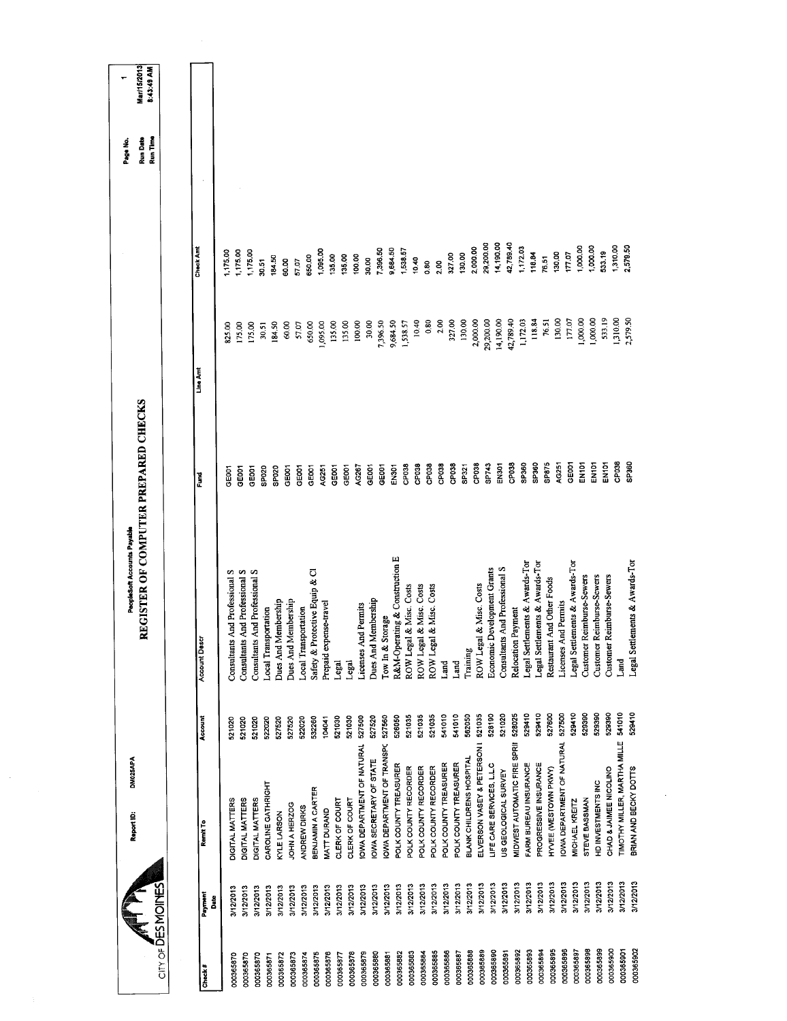|                           | DM025APA<br>Report ID:                    |         | REGISTER OF COMPUTER PREPARED CHECKS<br>PeopleSoft Accounts Payable |                    |           |           | <b>Run Date</b><br>Page No. | Mar/15/2013<br>٣ |
|---------------------------|-------------------------------------------|---------|---------------------------------------------------------------------|--------------------|-----------|-----------|-----------------------------|------------------|
| $CITY$ of DESMOINES       |                                           |         |                                                                     |                    |           |           | Run Time                    | 8:43:49 AM       |
|                           |                                           |         |                                                                     |                    |           |           |                             |                  |
| Payment<br>å<br>Check $#$ | Ramit To                                  | Account | Account Descr                                                       | Ĕ                  | Line Amt  | Check Am  |                             |                  |
| 3/12/2013<br>000365870    | DIGITAL MATTERS                           | 521020  | Consultants And Professional S                                      | GE <sub>00</sub> 1 | 825.00    | 1,175.00  |                             |                  |
| 3/12/2013<br>000365870    | DIGITAL MATTERS                           | 521020  | Consultants And Professional S                                      | GEOOT              | 175.00    | 1,175.00  |                             |                  |
| 3/12/2013<br>000365870    | DIGITAL MATTERS                           | 521020  | Consultants And Professional S                                      | GEOOT              | 175.00    | 175.00    |                             |                  |
| 3/12/2013<br>000365871    | CAROLINE GATHRIGHT                        | 522020  | <b>Local Transportation</b>                                         | SP020              | 30.51     | 30.51     |                             |                  |
| 3/12/2013<br>000365872    | KYLE LARSON                               | 527520  | Dues And Membership                                                 | SPO2O              | 184.50    | 184.50    |                             |                  |
| 3/12/2013<br>000365873    | JOHN A HERZOG                             | 527520  | Dues And Membership                                                 | GE001              | 60,00     | 50.00     |                             |                  |
| 3/12/2013<br>000365874    | ANDREW DIRKS                              | 522020  | Local Transportation                                                | GE001              | 57.07     | 57.07     |                             |                  |
| 3/12/2013<br>000365875    | BENJAMIN A CARTER                         | 532260  | Safety & Protective Equip & Cl                                      | GE001              | 650.00    | 650.00    |                             |                  |
| 3/12/2013<br>000365876    | MATT DURAND                               | 104041  | Prepaid expense-travel                                              | AG251              | 1,095.00  | 1,095.00  |                             |                  |
| 3/12/2013<br>000365877    | CLERK OF COURT                            | 521030  | Legal                                                               | GEOOT              | 135.00    | 135,00    |                             |                  |
| 3/12/2013<br>000365878    | CLERK OF COURT                            | 521030  | Legal                                                               | GE001              | 135.00    | 135.00    |                             |                  |
| 3/12/2013<br>000365879    | IOWA DEPARTMENT OF NATURAL                | 527500  | Licenses And Permits                                                | AG267              | 100,00    | 100.00    |                             |                  |
| 3/12/2013<br>000365880    | OWA SECRETARY OF STATE                    | 527520  | Dues And Membership                                                 | GE001              | 30.00     | 30.00     |                             |                  |
| 3/12/2013<br>000365881    | <b>OWA DEPARTMENT OF TRANSPC</b>          | 527560  | Storage<br>Iow $\ln \&$                                             | GE001              | 7,396.50  | 7,396.50  |                             |                  |
| 3/12/2013<br>000365882    | POLK COUNTY TREASURER                     | 526050  | R&M-Operating & Construction E                                      | EN301              | 9,684.50  | 9,684.50  |                             |                  |
| 3/12/2013<br>000365883    | POLK COUNTY RECORDER                      | 521035  | ROW Legal & Misc. Costs                                             | CP038              | 1,538.57  | 1,538.57  |                             |                  |
| 3/12/2013<br>000365884    | POLK COUNTY RECORDER                      | 521035  | ROW Legal & Misc. Costs                                             | CP <sub>038</sub>  | 10.40     | 0.40      |                             |                  |
| 3/12/2013<br>000365885    | POLK COUNTY RECORDER                      | 521035  | ROW Legal & Misc. Costs                                             | CP038              | 0.80      | 80        |                             |                  |
| 3/12/2013<br>000365886    | POLK COUNTY TREASURER                     | 541010  | Land                                                                | CP038              | 2.00      | 2.00      |                             |                  |
| 3/12/2013<br>000365887    | POLK COUNTY TREASURER                     | 541010  | Land                                                                | CP038              | 327.00    | 327.00    |                             |                  |
| 3/12/2013<br>000365888    | <b>BLANK CHILDRENS HOSPITAL</b>           | 562050  | Training                                                            | SP321              | 130.00    | 130.00    |                             |                  |
| 3/12/2013<br>000365889    | ELVERSON VASEY & PETERSON I               | 521035  | ROW Legal & Misc. Costs                                             | CP <sub>038</sub>  | 2,000.00  | 2,000.00  |                             |                  |
| 3/12/2013<br>000365890    | LIFE CARE SERVICES, L.L.C                 | 528190  | Economic Development Grants                                         | SP743              | 29,200.00 | 29,200.00 |                             |                  |
| 3/12/2013<br>000365891    | US GEOLOGICAL SURVEY                      | 521020  | Consultants And Professional S                                      | EN301              | 14,190.00 | 14,190.00 |                             |                  |
| 3/12/2013<br>000365892    | MIDWEST AUTOMATIC FIRE SPRII              | 528025  | Relocation Payment                                                  | CP038              | 42,789.40 | 42,789.40 |                             |                  |
| 3/12/2013<br>000365893    | FARM BUREAU INSURANCE                     | 529410  | Legal Settlements & Awards-Tor                                      | SP360              | 1,172.03  | 1,172.03  |                             |                  |
| 3/12/2013<br>000365894    | PROGRESSIVE INSURANCE                     | 529410  | Legal Settlements & Awards-Tor                                      | SP360              | 118.84    | 118.84    |                             |                  |
| 3/12/2013<br>000365895    | HYVEE (WESTOWN PKWY)                      | 527600  | Restaurant And Other Foods                                          | SP875              | 76.51     | 76.51     |                             |                  |
| 3/12/2013<br>000365896    | OWA DEPARTMENT OF NATURAL                 | 527500  | Licenses And Permits                                                | AC251              | 130.00    | 130,00    |                             |                  |
| 3/12/2013<br>000365897    | MICHAEL KREITZ                            | 529410  | Legal Settlements & Awards-Tor                                      | GEOOT              | 177.07    | 17.07     |                             |                  |
| 3/12/2013<br>000365898    | STEVE BASSMAN                             | 529390  | Reimburse-Sewers<br>Customer                                        | <b>EN101</b>       | 1,000.00  | 1,000.00  |                             |                  |
| 000365899                 | HD INVESTMENTS INC<br>3/12/2013           | 529390  | Reimburse-Sewers<br>Customer                                        | EN101              | 1,000.00  | 1,000.00  |                             |                  |
| 000365900                 | CHAD & JAIMEE NICOLINO<br>3/12/2013       | 529390  | Reimburse-Sewers<br>Customer                                        | EN <sub>101</sub>  | 533.19    | 533.19    |                             |                  |
| 000365901                 | TIMOTHY MILLER, MARTHA MILLE<br>3/12/2013 | 541010  | Land                                                                | CP038              | 1,310.00  | 1,310.00  |                             |                  |
| 000365902                 | BRIAN AND BECKY DOTTS<br>3/12/2013        | 529410  | Legal Settlements & Awards-Tor                                      | SP360              | 2,579.50  | 2,579.50  |                             |                  |
|                           |                                           |         |                                                                     |                    |           |           |                             |                  |

 $\sim$ 

 $\sim$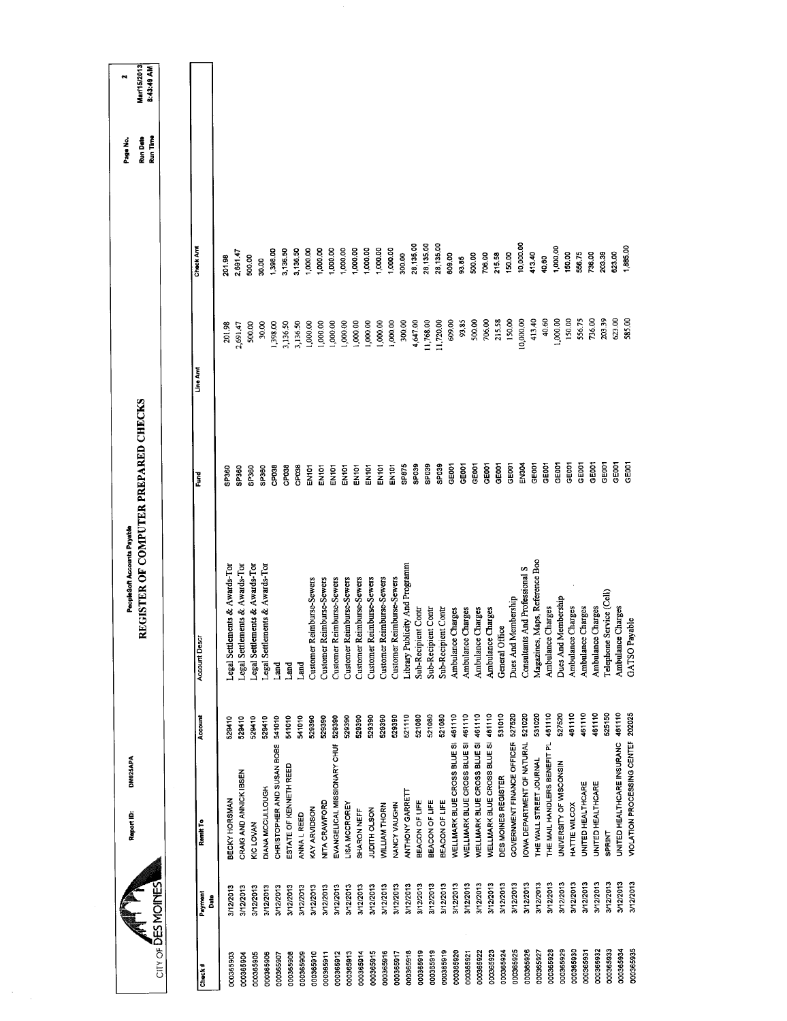|                                |              | Report ID:                         | DM025APA | PeopleSoft Accounts Payable                      |                   |           |           | Page No.             | Mar/15/2013<br>٢ŧ |
|--------------------------------|--------------|------------------------------------|----------|--------------------------------------------------|-------------------|-----------|-----------|----------------------|-------------------|
| $CITY OF \overline{D}ES MONFE$ |              |                                    |          | REGISTER OF COMPUTER PREPARED CHECKS             |                   |           |           | Run Time<br>Run Date | 8:43:49 AM        |
|                                |              |                                    |          |                                                  |                   |           |           |                      |                   |
| Check#                         | Payment<br>å | Remit To                           | Account  | <b>Account Descr</b>                             | š                 | Line Amt  | Check Am  |                      |                   |
| 000365903                      | 3/12/2013    | BECKY HORSMAN                      | 529410   | Legal Settlements & Awards-Tor                   | SP360             | 201.98    | 201.98    |                      |                   |
| 000365904                      | 3/12/2013    | CRAIG AND ANNICK IBSEN             | 529410   | Legal Settlements & Awards-Tor                   | SP360             | 2,691.47  | 2,691.47  |                      |                   |
| 000365905                      | 3/12/2013    | KIC LOVAN                          | 529410   | Legal Settlements & Awards-Tor                   | SP360             | 500.00    | 500.00    |                      |                   |
| 000365906                      | 3/12/2013    | DIANA MCCULLOUGH                   | 529410   | Legal Settlements & Awards-Tor                   | SP360             | 30.00     | 30.00     |                      |                   |
| 000365907                      | 3/12/2013    | CHRISTOPHER AND SUSAN BOBS         | 541010   | Land                                             | CP <sub>038</sub> | 1,398.00  | 1,398.00  |                      |                   |
| 000365908                      | 3/12/2013    | ESTATE OF KENNETH REED             | 541010   | Land                                             | CP038             | 3,136.50  | 3,136.50  |                      |                   |
| 000365909                      | 3/12/2013    | ANNA L REED                        | 541010   | Land                                             | CP038             | 3,136.50  | 3,136.50  |                      |                   |
| 000365910                      | 3/12/2013    | KAY ARVIDSON                       | 529390   | Customer Reimburse-Sewers                        | EN101             | 1,000.00  | 1,000.00  |                      |                   |
| 000365911                      | 3/12/2013    | NITA CRAWFORD                      | 529390   | Customer Reimburse-Sewers                        | EN <sub>101</sub> | 1,000.00  | 1,000.00  |                      |                   |
| 000365912                      | 3/12/2013    | EVANGELICAL MISSIONARY CHUF        | 529390   | Customer Reimburse-Sewers                        | EN101             | 1,000.00  | 1,000.00  |                      |                   |
| 000365913                      | 3/12/2013    | <b>LISA MCCROREY</b>               | 529390   | <b>Reimburse-Sewers</b><br>Customer <sub>1</sub> | EN101             | 1,000.00  | 1,000.00  |                      |                   |
| 000365914                      | 3/12/2013    | SHARON NEFF                        | 529390   | Customer Reimburse-Sewers                        | EN101             | 1,000.00  | 1,000.00  |                      |                   |
| 000365915                      | 3/12/2013    | JUDITH OLSON                       | 529390   | Customer Reimburse-Sewers                        | EN101             | 1,000.00  | 1,000.00  |                      |                   |
| 000365916                      | 3/12/2013    | <b>WILLIAM THORN</b>               | 529390   | Customer Reimburse-Sewers                        | EN101             | 1,000.00  | 1,000.00  |                      |                   |
| 000365917                      | 3/12/2013    | NANCY VAUGHN                       | 529390   | Reimburse-Sewers<br>Customer I                   | <b>EN101</b>      | 1,000.00  | 1,000.00  |                      |                   |
| 000365918                      | 3/12/2013    | ANTHONY GARRETT                    | 521110   | Library Publicity And Programm                   | SP875             | 300,00    | 300.00    |                      |                   |
| 000365919                      | 3/12/2013    | BEACON OF LIFE                     | 521080   | Sub-Recipient Contr                              | SPO39             | 4,647.00  | 28,135.00 |                      |                   |
| 000365919                      | 3/12/2013    | BEACON OF LIFE                     | 521080   | Sub-Recipient Contr                              | SP039             | 11,768.00 | 28,135.00 |                      |                   |
| 000365919                      | 3/12/2013    | BEACON OF LIFE                     | 521080   | Sub-Recipient Contr                              | SPO39             | 11,720.00 | 28,135.00 |                      |                   |
| 000365920                      | 3/12/2013    | WELLMARK BLUE CROSS BLUE SI        | 461110   | Ambulance Charges                                | GE001             | 609.00    | 609.00    |                      |                   |
| 000365921                      | 3/12/2013    | <b>NELLMARK BLUE CROSS BLUE SI</b> | 461110   | Ambulance Charges                                | GE001             | 93.85     | 93.55     |                      |                   |
| 000365922                      | 3/12/2013    | WELLMARK BLUE CROSS BLUE SI        | 461110   | Ambulance Charges                                | GEOOT             | 500.00    | 500.00    |                      |                   |
| 000365923                      | 3/12/2013    | WELLMARK BLUE CROSS BLUE SI        | 461110   | Ambulance Charges                                | GEOOT             | 706.00    | 706.00    |                      |                   |
| 000365924                      | 3/12/2013    | DES MOINES REGISTER                | 531010   | General Office                                   | GE001             | 215.58    | 215.58    |                      |                   |
| 000365925                      | 3/12/2013    | GOVERNMENT FINANCE OFFICEF         | 527520   | Dues And Membership                              | GE001             | 150.00    | 150.00    |                      |                   |
| 000365926                      | 3/12/2013    | OWA DEPARTMENT OF NATURAL          | 521020   | Consultants And Professional S                   | EN304             | 10,000.00 | 10,000.00 |                      |                   |
| 000365927                      | 3/12/2013    | HE WALL STREET JOURNAL             | 531020   | Magazines, Maps, Reference Boo                   | GE001             | 413.40    | 413.40    |                      |                   |
| 000365928                      | 3/12/2013    | THE MAIL HANDLERS BENEFIT PL       | 461110   | Ambulance Charges                                | GE001             | 40,60     | 40.60     |                      |                   |
| 000365929                      | 3/12/2013    | UNIVERSITY OF WISCONSIN            | 527520   | Dues And Membership                              | GE001             | 1,000.00  | 1,000.00  |                      |                   |
| 000365930                      | 3/12/2013    | HATTIE WILCOX                      | 461110   | Ambulance Charges                                | GE001             | 150,00    | 150.00    |                      |                   |
| 000365931                      | 3/12/2013    | UNITED HEALTHCARE                  | 461110   | Ambulance Charges                                | GEOOT             | 556.75    | 556.75    |                      |                   |
| 000365932                      | 3/12/2013    | UNITED HEALTHCARE                  | 461110   | Ambulance Charges                                | GEOOT             | 736.00    | 736.00    |                      |                   |
| 000365933                      | 3/12/2013    | <b>SPRINT</b>                      | 525150   | Service (Cell)<br>Telephone                      | GE001             | 203.39    | 203.39    |                      |                   |
| 000365934                      | 3/12/2013    | UNITED HEALTHCARE INSURANC         | 461110   | Ambulance Charges                                | GE001             | 623.00    | 623.00    |                      |                   |
| 000365935                      | 3/12/2013    | <b>VIOLATION PROCESSING CENTER</b> | 202025   | GATSO Payable                                    | GE001             | 585.00    | 1,885.00  |                      |                   |
|                                |              |                                    |          |                                                  |                   |           |           |                      |                   |

 $\label{eq:2} \frac{1}{\sqrt{2}}\sum_{i=1}^n\frac{1}{\sqrt{2\pi i}}\int_{\mathbb{R}^n} \left(\frac{1}{\sqrt{2\pi i}}\right)^2\frac{1}{\sqrt{2\pi i}}\frac{1}{\sqrt{2\pi i}}\int_{\mathbb{R}^n} \left(\frac{1}{\sqrt{2\pi i}}\right)^2\frac{1}{\sqrt{2\pi i}}\frac{1}{\sqrt{2\pi i}}\frac{1}{\sqrt{2\pi i}}\frac{1}{\sqrt{2\pi i}}\frac{1}{\sqrt{2\pi i}}\frac{1}{\sqrt{2\pi i}}\frac{1}{\sqrt{2\pi i}}\frac$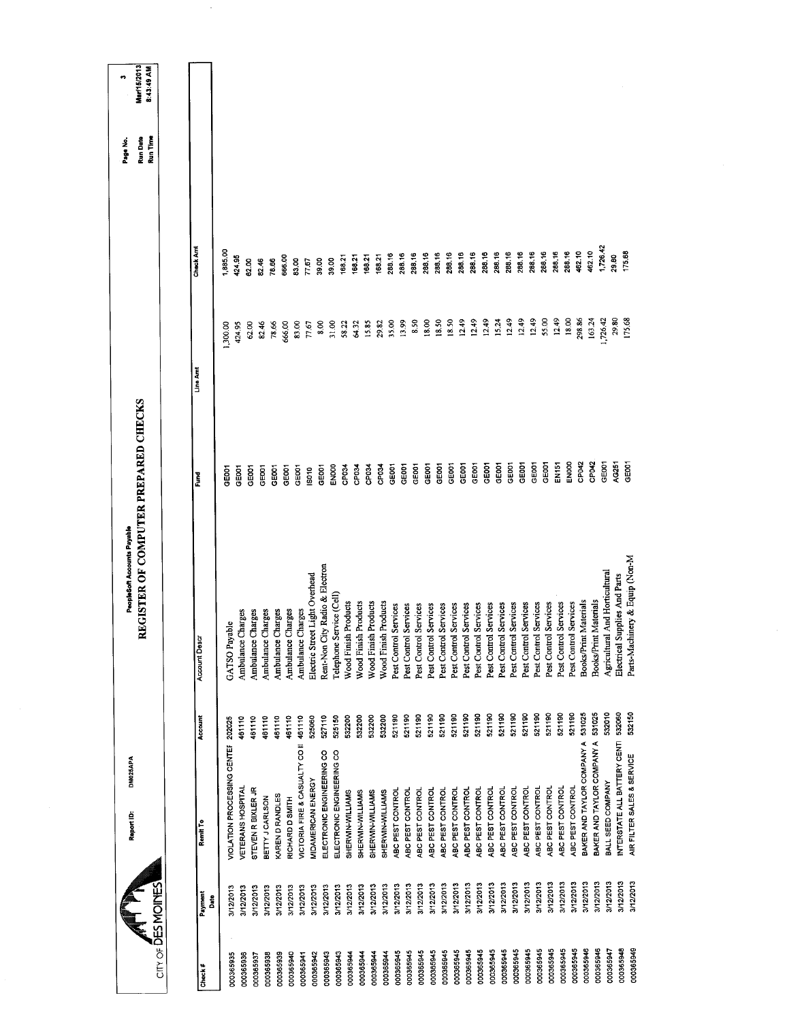|                                  | Report ID:                     | DM025APA                                 | REGISTER OF COMPUTER PREPARED CHECKS<br>PeopleSoft Accounts Payable |                   |                |                  | Run Time<br>Run Date<br>Page No. | Mar/15/2013<br>8:43:49 AM<br>m |
|----------------------------------|--------------------------------|------------------------------------------|---------------------------------------------------------------------|-------------------|----------------|------------------|----------------------------------|--------------------------------|
| CITY OF DES MOINES               |                                |                                          |                                                                     |                   |                |                  |                                  |                                |
|                                  |                                |                                          |                                                                     |                   | Line Amt       | Check Amt        |                                  |                                |
| Payment<br><b>Bate</b><br>Check# | Remit To                       | Account                                  | Account Desar                                                       | Fund              |                |                  |                                  |                                |
| 3/12/2013<br>000365935           |                                | 202025<br>VIOLATION PROCESSING CENTER    | GATSO Payable                                                       | <b>GOOT</b>       | 1,300.00       | 1,885.00         |                                  |                                |
| 3/12/2013<br>000365936           | VETERANS HOSPITAL              | 461110                                   | Ambulance Charges                                                   | GEOOT             | 424.95         | 424.95           |                                  |                                |
| 3/12/2013<br>000365937           | STEVEN R BIXLER JR             | 461110                                   | Charges<br>Ambulance                                                | GE001             | 62.00          | 62.00            |                                  |                                |
| 3/12/2013<br>000365938           | BETTY J CARLSON                | 461110                                   | Ambulance Charges                                                   | GE <sub>001</sub> | 82.46          | 8246             |                                  |                                |
| 3/12/2013<br>000365939           | KAREN D RANDLES                | 461110                                   | Ambulance Charges                                                   | GE001             | 78.66          | 78.66            |                                  |                                |
| 3/12/2013<br>000365940           | RICHARD D SMITH                | 461110                                   | Charges<br>Ambulance                                                | <b>GEOOT</b>      | 666.00         | 666.00           |                                  |                                |
| 3/12/2013<br>000365941           |                                | 461110<br>VICTORIA FIRE & CASUALTY CO II | Ambulance Charges                                                   | <b>GEOOT</b>      | 83.00          | 83.00            |                                  |                                |
| 3/12/2013<br>000365942           | MIDAMERICAN ENERGY             | 525060                                   | Electric Street Light Overhead                                      | ISO10             | 77.67          | 77.57            |                                  |                                |
| 3/12/2013<br>000365943           |                                | 527110<br>ELECTRONIC ENGINEERING CO      | Rent-Non City Radio & Electron                                      | GE001             | 8.00           | 39.00            |                                  |                                |
| 3/12/2013<br>000365943           | ELECTRONIC ENGINEERING CO      | 525150                                   | Telephone Service (Cell)                                            | ENOOO             | 31.00          | 39.00            |                                  |                                |
| 3/12/2013<br>000365944           | SHERWIN-WILLIAMS               | 532200                                   | Wood Finish Products                                                | CP <sub>034</sub> | 58.22          | 168.21           |                                  |                                |
| 3/12/2013<br>000365944           | SHERWIN-WILLIAMS               | 532200                                   | Wood Finish Products                                                | CP <sub>034</sub> | 64.32          | 168.21           |                                  |                                |
| 3/12/2013<br>000365944           | SHERWIN-WILLIAMS               | 532200                                   | Wood Finish Products                                                | CP <sub>034</sub> | 15.85          | 168.21           |                                  |                                |
| 3/12/2013<br>000365944           | SHERWIN-WILLIAMS               | 532200                                   | <b>Wood Finish Products</b>                                         | CP034             | 29.82          | 168.21           |                                  |                                |
| 000365945                        | ABC PEST CONTROL<br>3/12/2013  | 521190                                   | Services<br>Pest Control                                            | GE001             | 35.00          | 288.16           |                                  |                                |
| 3/12/2013<br>000365945           | ABC PEST CONTROL               | 521190                                   | Services<br>Pest Control                                            | GE001             | 13.99          | 288.16           |                                  |                                |
| 000365945                        | ABC PEST CONTROL<br>3/12/2013  | 521190                                   | Services<br>Pest Control                                            | GE001             | 8.50           | 288.16           |                                  |                                |
| 000365945                        | ABC PEST CONTROL<br>3/12/2013  | 521190                                   | Services<br>Pest Control                                            | GE001             | 18.00          | 288.16           |                                  |                                |
| 000365945                        | ABC PEST CONTROL<br>3/12/2013  | 521190                                   | Services<br>Pest Control                                            | GE001             | 18.50          | 288,16           |                                  |                                |
| 000365945                        | ABC PEST CONTROL<br>3/12/2013  | 521190                                   | Services<br>Pest Control                                            | GE001             | 18.50          | 288.16           |                                  |                                |
| 000365945                        | ABC PEST CONTROL<br>3/12/2013  | 521190                                   | Services<br>Pest Contro                                             | GE001             | 12.49          | 288.16           |                                  |                                |
| 000365945                        | ABC PEST CONTROL<br>3/12/2013  | 521190                                   | Services<br>Pest Contro                                             | GE001             | 12.49          | 288.16           |                                  |                                |
| 000365945                        | ABC PEST CONTROL<br>3/12/2013  | 521190                                   | Services<br>Pest Contro                                             | GE001             | 12.49          | 288.16           |                                  |                                |
| 000365945                        | ABC PEST CONTROL<br>3/12/2013  | 521190                                   | Services<br>Pest Contro                                             | GE001             | 15.24          | 288.16<br>288.16 |                                  |                                |
| 000365945                        | ABC PEST CONTROL<br>3/12/2013  | 521190                                   | Services<br>Pest Contro                                             | GE001             | 12.49<br>12.49 | 288.16           |                                  |                                |
| 000365945                        | ABC PEST CONTROL<br>3/12/2013  | 521190                                   | Services<br>Pest Contro                                             | GEOD1             | 12.49          | 288.16           |                                  |                                |
| 000365945                        | ABC PEST CONTROL<br>3/12/2013  | 521190                                   | Pest Control Services                                               | GE001             | 55.00          | 288.16           |                                  |                                |
| 000365945                        | ABC PEST CONTROL<br>3/12/2013  | 521190                                   | Pest Control Services                                               | GE001             |                | 288,16           |                                  |                                |
| 000365945                        | ABC PEST CONTROL<br>3/12/2013  | 521190                                   | Pest Control Services                                               | EN151             | 12.49<br>18.00 | 288.16           |                                  |                                |
| 000365945                        | ABC PEST CONTROL<br>3/12/2013  | 521190                                   | Pest Control Services                                               | ENOOO             | 298.86         | 462.10           |                                  |                                |
| 000365946                        | 3/12/2013                      | 531025<br>BAKER AND TAYLOR COMPANY A     | Materials<br>Books/Print                                            | CP042             | 163.24         | 462.10           |                                  |                                |
| 000365946                        | 3/12/2013                      | 531025<br>BAKER AND TAYLOR COMPANY A     | Books/Print Materials                                               | CP <sub>042</sub> |                | 1,726.42         |                                  |                                |
| 000365947                        | BALL SEED COMPANY<br>3/12/2013 | 532010                                   | Agricultural And Horticultural                                      | GE001             | 1,726.42       | 29.80            |                                  |                                |
| 000365948                        | 3/12/2013                      | 532060<br>INTERSTATE ALL BATTERY CENTI   | Electrical Supplies And Parts                                       | AG251             | 29.80          | 175.68           |                                  |                                |
| 000365949                        | 3/12/2013                      | 532150<br>AIR FILTER SALES & SERVICE     | Parts-Machinery & Equip (Non-M                                      | GE001             | 175,68         |                  |                                  |                                |
|                                  |                                |                                          |                                                                     |                   |                |                  |                                  |                                |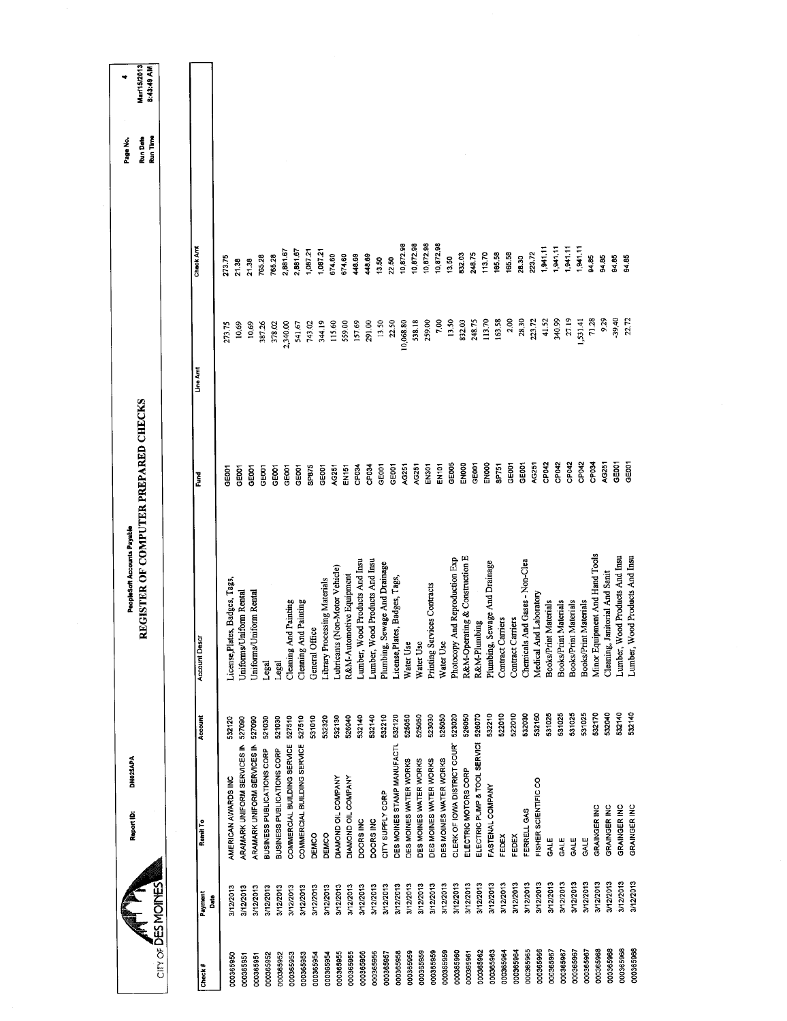| $\text{cm}$ of DES MOINES |                 | DM025APA<br>Report ID:       |         | REGISTER OF COMPUTER PREPARED CHECKS<br>PeopleSoft Accounts Payable |                   |           |                  | <b>Run Date</b><br>Run Time<br>Page No. | Mar/15/2013<br>8:43:49 AM |
|---------------------------|-----------------|------------------------------|---------|---------------------------------------------------------------------|-------------------|-----------|------------------|-----------------------------------------|---------------------------|
|                           |                 |                              |         |                                                                     |                   |           |                  |                                         |                           |
| Check#                    | Payment<br>ន្ទឹ | Remit To                     | Account | <b>Account Descr</b>                                                | Eund              | Line Am   | Check Amt        |                                         |                           |
| 000365950                 | 3/12/2013       | AMERICAN AWARDS INC          | 532120  | License, Plates, Badges, Tags,                                      | င်ပီ              | 273.75    | 273.75           |                                         |                           |
| 000365951                 | 3/12/2013       | ARAMARK UNIFORM SERVICES IN  | 527090  | Juiform Rental<br>Uniforms/L                                        | GE001             | 10.69     | 21.38            |                                         |                           |
| 000365951                 | 3/12/2013       | ARAMARK UNIFORM SERVICES IN  | 527090  | Jniforms/Uniform Rental                                             | GE001             | 10.69     | 21.38            |                                         |                           |
| 000365952                 | 3/12/2013       | BUSINESS PUBLICATIONS CORP   | 521030  | Legal                                                               | GE001             | 387.26    | 765.28           |                                         |                           |
| 000365952                 | 3/12/2013       | BUSINESS PUBLICATIONS CORP   | 521030  | Legal                                                               | GE001             | 378.02    | 765.28           |                                         |                           |
| 000365953                 | 3/12/2013       | COMMERCIAL BUILDING SERVICE  | 527510  | Cleaning And Painting                                               | GEOOT             | 2,340.00  | 2,881.67         |                                         |                           |
| 000365953                 | 3/12/2013       | COMMERCIAL BUILDING SERVICE  | 527510  | Cleaning And Painting                                               | GEOOT             | 541.67    | 2,881.67         |                                         |                           |
| 000365954                 | 3/12/2013       | DEMCO                        | 531010  | General Office                                                      | SP875             | 743.02    | 1,087.21         |                                         |                           |
| 000365954                 | 3/12/2013       | DEMCO                        | 532320  | Library Processing Materials                                        | GE <sub>001</sub> | 344.19    | 1,087.21         |                                         |                           |
| 000365955                 | 3/12/2013       | DIAMOND OIL COMPANY          | 532130  | Lubricants (Non-Motor Vehicle)                                      | AG251             | 115.60    | 674.60           |                                         |                           |
| 000365955                 | 3/12/2013       | DIAMOND OIL COMPANY          | 526040  | R&M-Automotive Equipment                                            | EN151             | 559.00    | 674.60           |                                         |                           |
| 000365956                 | 3/12/2013       | DOORS INC                    | 532140  | Lumber, Wood Products And Insu                                      | CP <sub>034</sub> | 157.69    | 448.69           |                                         |                           |
| 000365956                 | 3/12/2013       | DOORS INC                    | 532140  | Lumber, Wood Products And Insu                                      | CP <sub>034</sub> | 291.00    | 448.69           |                                         |                           |
| 000365957                 | 3/12/2013       | CITY SUPPLY CORP             | 532210  | Plumbing, Sewage And Drainage                                       | GE001             | 13.50     | 13.50            |                                         |                           |
| 000365958                 | 3/12/2013       | DES MOINES STAMP MANUFACTL   | 532120  | License, Plates, Badges, Tags,                                      | GEBOT             | 22.50     | 22.50            |                                         |                           |
| 000365959                 | 3/12/2013       | DES MOINES WATER WORKS       | 525050  | Water Use                                                           | AG251             | 10,068.80 | 10,872.98        |                                         |                           |
| 000365959                 | 3/12/2013       | DES MOINES WATER WORKS       | 525050  | Water Use                                                           | AG251             | 538.18    | 10,872.98        |                                         |                           |
| 000365959                 | 3/12/2013       | DES MOINES WATER WORKS       | 523030  | Printing Services Contracts                                         | EN301             | 259.00    | 10,872.98        |                                         |                           |
| 000365959                 | 3/12/2013       | DES MOINES WATER WORKS       | 525050  | Water Use                                                           | EN <sub>101</sub> | 7.00      | 10,872.98        |                                         |                           |
| 000365960                 | 3/12/2013       | CLERK OF IOWA DISTRICT COUR' | 523020  | And Reproduction Exp<br>Photocopy                                   | GE005             | 13.50     | 13.50            |                                         |                           |
| 000365961                 | 3/12/2013       | ELECTRIC MOTORS CORP         | 526050  | R&M-Operating & Construction E                                      | ENDOO             | 832.03    | 832.03           |                                         |                           |
| 000365962                 | 3/12/2013       | ELECTRIC PUMP & TOOL SERVICI | 526070  | R&M-Plumbing                                                        | GE001             | 248.75    | 248.75           |                                         |                           |
| 000365963                 | 3/12/2013       | FASTENAL COMPANY             | 532210  | Plumbing, Sewage And Drainage                                       | EN000             | 113.70    | 113.70           |                                         |                           |
| 000365964                 | 3/12/2013       | FEDEX                        | 522010  | Contract Carriers                                                   | SP751             | 163.58    | 165.58<br>165.58 |                                         |                           |
| 000365964                 | 3/12/2013       | FEDEX                        | 522010  | Contract Carriers                                                   | GE001             | 2.00      |                  |                                         |                           |
| 000365965                 | 3/12/2013       | FERRELL GAS                  | 532030  | Chemicals And Gases - Non-Clea                                      | GEOOT             | 28.30     | 28.30            |                                         |                           |
| 000365966                 | 3/12/2013       | FISHER SCIENTIFIC CO         | 532160  | Medical And Laboratory                                              | AG251             | 223.72    | 223.72           |                                         |                           |
| 000365967                 | 3/12/2013       | GALE                         | 531025  | <b>Books/Print Materials</b>                                        | CP <sub>042</sub> | 41.52     | 1,941.11         |                                         |                           |
| 000365967                 | 3/12/2013       | GALE                         | 531025  | Books/Print Materials                                               | CP042             | 340.99    | 1,941.11         |                                         |                           |
| 000365967                 | 3/12/2013       | GALE                         | 531025  | Books/Print Materials                                               | CP042             | 27.19     | 1,941.11         |                                         |                           |
| 000365967                 | 3/12/2013       | GALE                         | 531025  | <b>Books/Print Materials</b>                                        | CP042             | 1,531.41  | 1,941.11         |                                         |                           |
| 000365968                 | 3/12/2013       | GRAINGER INC                 | 532170  | Minor Equipment And Hand Tools                                      | CP034             | 71.28     | 94.85            |                                         |                           |
| 000365968                 | 3/12/2013       | GRAINGER INC                 | 532040  | Cleaning, Janitorial And Sanit                                      | AG251             | 9.29      | 94.85            |                                         |                           |
| 000365968                 | 3/12/2013       | GRAINGER INC                 | 532140  | <b>Jood Products And Insu</b><br>Lumber, W                          | GE001             | 39.40     | 84.85            |                                         |                           |
| 000365968                 | 3/12/2013       | GRAINGER INC                 | 532140  | Lumber, Wood Products And Insu                                      | GEOOT             | 22.72     | 94.85            |                                         |                           |
|                           |                 |                              |         |                                                                     |                   |           |                  |                                         |                           |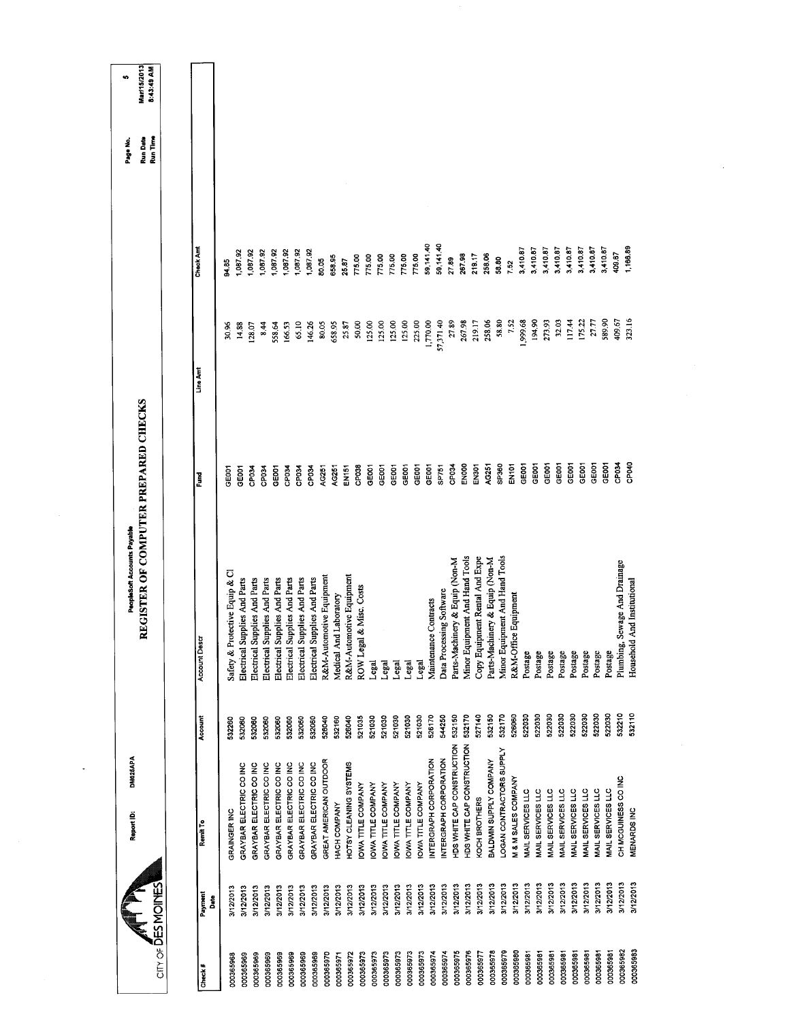|                        |                 | DM025APA<br>Report ID:            |         | REGISTER OF COMPUTER PREPARED CHECKS<br>PeopleSoft Accounts Payable |                    |           |           | <b>Run Date</b><br>Page No. | Mar/15/2013<br>8:43:49 AM<br>s, |
|------------------------|-----------------|-----------------------------------|---------|---------------------------------------------------------------------|--------------------|-----------|-----------|-----------------------------|---------------------------------|
| cirv of DESMOINES      |                 |                                   |         |                                                                     |                    |           |           | Run Time                    |                                 |
| Check#                 | Payment<br>Date | Remit To                          | Account | <b>Account Descr</b>                                                | Ĕ                  | Line Ami  | Check Amt |                             |                                 |
|                        | 3/12/2013       | GRAINGER INC                      | 532260  | Safety & Protective Equip & Cl                                      | GE001              | 30.96     | 94.85     |                             |                                 |
| 000365968<br>000365969 | 3/12/2013       | GRAYBAR ELECTRIC CO INC           | 532060  | Electrical Supplies And Parts                                       | GEOOT              | 14.88     | 1,087.92  |                             |                                 |
| 000365969              | 3/12/2013       | GRAYBAR ELECTRIC CO INC           | 532060  | Electrical Supplies And Parts                                       | CP034              | 128.07    | 1,087.92  |                             |                                 |
| 000365969              | 3/12/2013       | GRAYBAR ELECTRIC CO INC           | 532060  | Electrical Supplies And Parts                                       | CP <sub>034</sub>  | 8.44      | 087.92    |                             |                                 |
| 000365969              | 3/12/2013       | GRAYBAR ELECTRIC CO INC           | 532060  | Electrical Supplies And Parts                                       | GE001              | 558.64    | ,087.92   |                             |                                 |
| 000365969              | 3/12/2013       | GRAYBAR ELECTRIC CO INC           | 532060  | Electrical Supplies And Parts                                       | CP034              | 166.53    | 087.92    |                             |                                 |
| 000365969              | 3/12/2013       | GRAYBAR ELECTRIC CO INC           | 532060  | Electrical Supplies And Parts                                       | CP <sub>034</sub>  | 65.10     | 1,087.92  |                             |                                 |
| 000365969              | 3/12/2013       | GRAYBAR ELECTRIC CO INC           | 532060  | Electrical Supplies And Parts                                       | CP034              | 146.26    | 1,087.92  |                             |                                 |
| 000365970              | 3/12/2013       | GREAT AMERICAN OUTDOOR            | 526040  | R&M-Automotive Equipment                                            | AG251              | 80.05     | 80.05     |                             |                                 |
| 000365971              | 3/12/2013       | HACH COMPANY                      | 532160  | Medical And Laboratory                                              | AG251              | 658.95    | 658.95    |                             |                                 |
| 000365972              | 3/12/2013       | <b>CTSY CLEANING SYSTEMS</b>      | 526040  | R&M-Automotive Equipment                                            | EN151              | 25.87     | 25.87     |                             |                                 |
| 000365973              | 3/12/2013       | OWA TITLE COMPANY                 | 521035  | ROW Legal & Misc. Costs                                             | CP038              | 50.00     | 775.00    |                             |                                 |
| 000365973              | 3/12/2013       | OWA TITLE COMPANY                 | 521030  | Legal                                                               | GE001              | 125.00    | 77500     |                             |                                 |
| 000365973              | 3/12/2013       | OWA TITLE COMPANY                 | 521030  | Legal                                                               | GEOOT              | 125.00    | 775.00    |                             |                                 |
| 000365973              | 3/12/2013       | OWA TITLE COMPANY                 | 521030  | Legal                                                               | GEOOT              | 125.00    | 775.00    |                             |                                 |
| 000365973              | 3/12/2013       | OWA TITLE COMPANY                 | 521030  | Legal                                                               | GE001              | 125.00    | 775.00    |                             |                                 |
| 000365973              | 3/12/2013       | OWA TITLE COMPANY                 | 521030  | Legal                                                               | GE001              | 225,00    | 775.00    |                             |                                 |
| 000365974              | 3/12/2013       | INTERGRAPH CORPORATION            | 526170  | Maintenance Contracts                                               | GE001              | 1,770.00  | 59,141.40 |                             |                                 |
| 000365974              | 3/12/2013       | NTERGRAPH CORPORATION             | 544250  | Data Processing Software                                            | SP751              | 57,371.40 | 59,141.40 |                             |                                 |
| 000365975              | 3/12/2013       | <b>TDS WHITE CAP CONSTRUCTION</b> | 532150  | Parts-Machinery & Equip (Non-M                                      | CP034              | 27.89     | 27.89     |                             |                                 |
| 000365976              | 3/12/2013       | HDS WHITE CAP CONSTRUCTION        | 532170  | Minor Equipment And Hand Tools                                      | ENOOO              | 267.98    | 267.98    |                             |                                 |
| 000365977              | 3/12/2013       | KOCH BROTHERS                     | 527140  | Copy Equipment Rental And Expe                                      | <b>EN301</b>       | 219.17    | 219.17    |                             |                                 |
| 000365978              | 3/12/2013       | BALDWIN SUPPLY COMPANY            | 532150  | Parts-Machinery & Equip (Non-M                                      | AG251              | 258.06    | 256.06    |                             |                                 |
| 000365979              | 3/12/2013       | LOGAN CONTRACTORS SUPPLY          | 532170  | Minor Equipment And Hand Tools                                      | SP360              | 58.80     | 58.80     |                             |                                 |
| 000365980              | 3/12/2013       | <b>M &amp; M SALES COMPANY</b>    | 526060  | ce Equipment<br>R&M-Off                                             | EN101              | 752       | 7.52      |                             |                                 |
| 000365981              | 3/12/2013       | MAIL SERVICES LLC                 | 522030  | Postage                                                             | GE001              | 1,999.68  | 3,410.87  |                             |                                 |
| 000365981              | 3/12/2013       | MAIL SERVICES LLC                 | 522030  | Postage                                                             | GEOOT              | 194.90    | 3,410.87  |                             |                                 |
| 000365981              | 3/12/2013       | MAIL SERVICES LLC                 | 522030  | Postage                                                             | GE001              | 273.93    | 3,410.87  |                             |                                 |
| 000365981              | 3/12/2013       | MAIL SERVICES LLC                 | 522030  | Postage                                                             | GE001              | 32.03     | 3,410.87  |                             |                                 |
| 000365981              | 3/12/2013       | <b>MAIL SERVICES LLC</b>          | 522030  | Postage                                                             | GEOOT              | 117.44    | 3,410.87  |                             |                                 |
| 00036598               | 3/12/2013       | MAIL SERVICES LLC                 | 522030  | Postage                                                             | GEOOT              | 175.22    | 3,410.87  |                             |                                 |
| 000365981              | 3/12/2013       | MAIL SERVICES LLC                 | 522030  | Postage                                                             | <b>GEOOT</b>       | 27.77     | 3,410.87  |                             |                                 |
| 000365981              | 3/12/2013       | MAIL SERVICES LLC                 | 522030  | Postage                                                             | GE001              | 589.90    | 3,410.87  |                             |                                 |
| 000365982              | 3/12/2013       | CH MCGUINESS CO INC               | 532210  | Sewage And Drainage<br>Plumbing,                                    | CP <sub>034</sub>  | 409.67    | 409.67    |                             |                                 |
| 000365983              | 3/12/2013       | MENARDS INC                       | 532110  | d And Institutional<br>Househol                                     | CP <sub>O4</sub> O | 323.16    | 1,166.89  |                             |                                 |
|                        |                 |                                   |         |                                                                     |                    |           |           |                             |                                 |

 $\bar{\mathcal{A}}$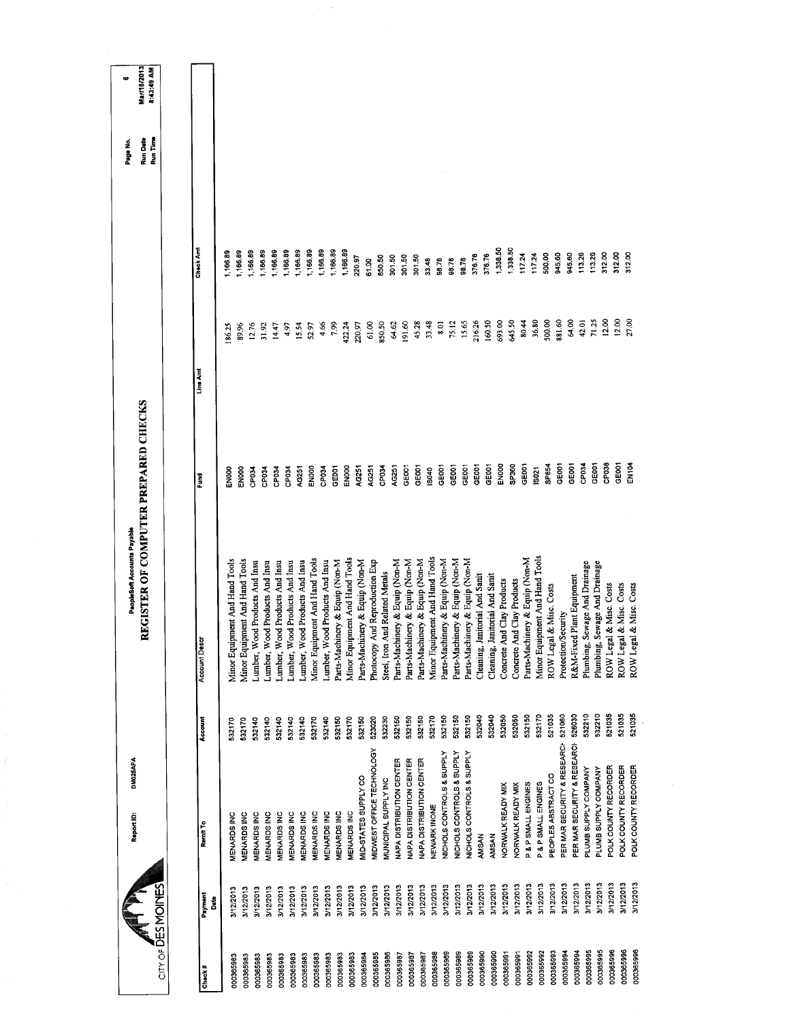|                        |              | DM025APA<br>Report ID:      |         | PeopleSoft Accounts Payable          |                   |                 |                  | Page No.             | ø                         |
|------------------------|--------------|-----------------------------|---------|--------------------------------------|-------------------|-----------------|------------------|----------------------|---------------------------|
| CITY OF DES MOINES     |              |                             |         | REGISTER OF COMPUTER PREPARED CHECKS |                   |                 |                  | Run Time<br>Run Date | Mar/15/2013<br>8:43:49 AM |
|                        |              |                             |         |                                      |                   |                 |                  |                      |                           |
| Check#                 | Payment<br>å | Remit To                    | Account | <b>Account Desc</b>                  | Ĕ                 | Line Amt        | Check Amt        |                      |                           |
|                        | 3/12/2013    | MENARDS INC                 | 532170  | Minor Equipment And Hand Tools       | EN <sub>00</sub>  | 86.25           | ,166.89          |                      |                           |
| 000365983<br>000365983 | 3/12/2013    | <b>MENARDS INC</b>          | 532170  | Minor Equipment And Hand Tools       | EN000             | 89.96           | 1,166.89         |                      |                           |
| 000365983              | 3/12/2013    | <b>MENARDS INC</b>          | 532140  | Lumber, Wood Products And Insu       | 35040             | 12.76           | ,166.89          |                      |                           |
| 000365983              | 3/12/2013    | <b>MENARDS INC</b>          | 532140  | Lumber, Wood Products And Insu       | CP034             | 31.92           | 1,166.89         |                      |                           |
| 000365983              | 3/12/2013    | <b>MENARDS INC</b>          | 532140  | Lumber, Wood Products And Insu       | CP034             | 14.47           | 1,166.89         |                      |                           |
| 000365983              | 3/12/2013    | MENARDS INC                 | 532140  | Lumber, Wood Products And Insu       | CP034             | 4.97            | 1,166.89         |                      |                           |
| 000365983              | 3/12/2013    | MENARDS INC                 | 532140  | Lumber, Wood Products And Insu       | <b>4G251</b>      | 15.54           | ,166.89          |                      |                           |
| 000365983              | 3/12/2013    | MENARDS INC                 | 532170  | Minor Equipment And Hand Tools       | ENOOO             | 52.97           | 1,166.89         |                      |                           |
| 000365983              | 3/12/2013    | MENARDS INC                 | 532140  | Lumber, Wood Products And Insu       | <b>BOd2</b>       | 4.66            | ,166.89          |                      |                           |
| 000365983              | 3/12/2013    | MENARDS INC                 | 532150  | Parts-Machinery & Equip (Non-M       | GEOOT             | 7.99            | 1,166.89         |                      |                           |
| 000365983              | 3/12/2013    | MENARDS INC                 | 532170  | Minor Equipment And Hand Tools       | EN000             | 422.24          | 1,166.89         |                      |                           |
| 000365984              | 3/12/2013    | MID-STATES SUPPLY CO        | 532150  | Parts-Machinery & Equip (Non-M       | AG251             | 220.97          | 220.97           |                      |                           |
| 000365985              | 3/12/2013    | MIDWEST OFFICE TECHNOLOGY   | 523020  | And Reproduction Exp<br>Photocopy    | AG251             | 61.00           | 61.00            |                      |                           |
| 000365986              | 3/12/2013    | MUNICIPAL SUPPLY INC        | 532230  | Steel, Iron And Related Metals       | CP <sub>034</sub> | 850,50          | 850.50           |                      |                           |
| 000365987              | 3/12/2013    | NAPA DISTRIBUTION CENTER    | 532150  | Parts-Machinery & Equip (Non-M       | AG251             | 64.62           | 301.50           |                      |                           |
| 000365987              | 3/12/2013    | NAPA DISTRIBUTION CENTER    | 532150  | Parts-Machinery & Equip (Non-M       | GE001             | 191.60          | 301.50           |                      |                           |
| 000365987              | 3/12/2013    | NAPA DISTRIBUTION CENTER    | 532150  | Parts-Machinery & Equip (Non-M       | GEOOT             | 45.28           | 301.50           |                      |                           |
| 000365988              | 3/12/2013    | NEWARK INONE                | 532170  | Minor Equipment And Hand Tools       | IS040             | 33.48           | 33.48            |                      |                           |
| 000365989              | 3/12/2013    | NICHOLS CONTROLS & SUPPLY   | 532150  | Parts-Machinery & Equip (Non-M       | GEOOT             | 8.01            | 96,78            |                      |                           |
| 000365989              | 3/12/2013    | NICHOLS CONTROLS & SUPPLY   | 532150  | Parts-Machinery & Equip (Non-M       | GEOOT             | 75.12           | 98.78            |                      |                           |
| 000365989              | 3/12/2013    | NICHOLS CONTROLS & SUPPLY   | 532150  | Parts-Machinery & Equip (Non-M       | GE001             | 15.65           | 96.78            |                      |                           |
| 000365990              | 3/12/2013    | AMSAN                       | 532040  | anitorial And Sanit<br>Cleaning, J   | GEOOT             | 216.26          | 376.76           |                      |                           |
| 000365990              | 3/12/2013    | AMSAN                       | 532040  | anitorial And Sanit<br>Cleaning, J   | GE001             | 160.50          | 376.76           |                      |                           |
| 000365991              | 3/12/2013    | NORWALK READY MIX           | 532050  | Concrete And Clay Products           | EN000             | 693.00          | 1,338.50         |                      |                           |
| 000365991              | 3/12/2013    | NORWALK READY MIX           | 532050  | Concrete And Clay Products           | SP360             | 645.50          | 1,338.50         |                      |                           |
| 000365992              | 3/12/2013    | P & P SMALL ENGINES         | 532150  | Parts-Machinery & Equip (Non-M       | GE001             | 80,44           | 117.24<br>117.24 |                      |                           |
| 000365992              | 3/12/2013    | P & P SMALL ENGINES         | 532170  | Minor Equipment And Hand Tools       | IS021             | 36,80<br>500.00 | 500,00           |                      |                           |
| 000365993              | 3/12/2013    | PEOPLES ABSTRACT CO         | 521035  | ROW Legal & Misc. Costs              | SP854             | 881.60          | 945.60           |                      |                           |
| 000365994              | 3/12/2013    | PER MAR SECURITY & RESEARCH | 521060  | Protection/Security                  | GE001             | 64.00           | 945.60           |                      |                           |
| 000365994              | 3/12/2013    | PER MAR SECURITY & RESEARCH | 528030  | R&M-Fixed Plant Equipment            | GEOOT             |                 | 113.26           |                      |                           |
| 000365995              | 3/12/2013    | PLUMB SUPPLY COMPANY        | 532210  | Sewage And Drainage<br>Plumbing,     | CP <sub>034</sub> | 42.01           | 113.26           |                      |                           |
| 000365995              | 3/12/2013    | PLUMB SUPPLY COMPANY        | 532210  | Plumbing, Sewage And Drainage        | GE001             | 71.25           | 312.00           |                      |                           |
| 000365996              | 3/12/2013    | POLK COUNTY RECORDER        | 521035  | ROW Legal & Misc. Costs              | CP038             | 12.00           | 312.00           |                      |                           |
| 000365996              | 3/12/2013    | POLK COUNTY RECORDER        | 521035  | ROW Legal & Misc. Costs              | GEOOT             | 12.00           |                  |                      |                           |
| 000365996              | 3/12/2013    | POLK COUNTY RECORDER        | 521035  | ROW Legal & Misc. Costs              | M104              | 27.00           | 312.00           |                      |                           |
|                        |              |                             |         |                                      |                   |                 |                  |                      |                           |
|                        |              |                             |         |                                      |                   |                 |                  |                      |                           |
|                        |              |                             |         |                                      |                   |                 |                  |                      |                           |
|                        |              |                             |         |                                      |                   |                 |                  |                      |                           |

 $\alpha$  ,  $\alpha$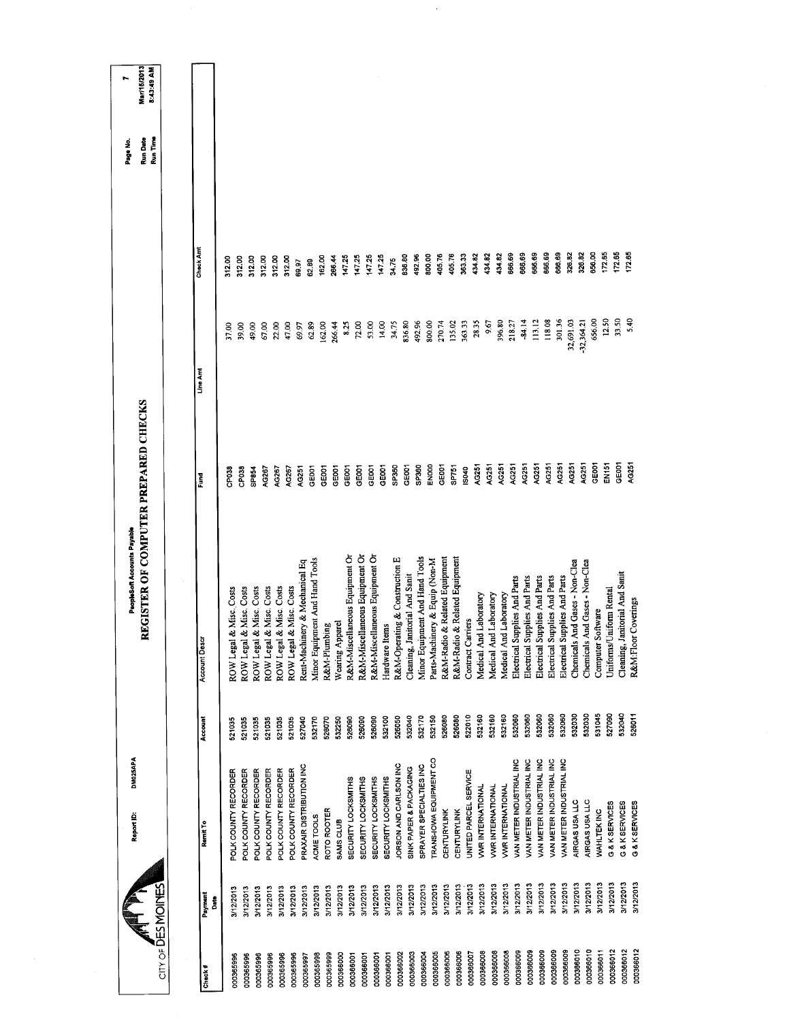|                                |                 | DM025APA<br>Report ID:     |         | REGISTER OF COMPUTER PREPARED CHECKS<br>PeopleSoft Accounts Payable |              |           |                  | Run Date<br>Page No. | Mar/15/2013<br>r. |
|--------------------------------|-----------------|----------------------------|---------|---------------------------------------------------------------------|--------------|-----------|------------------|----------------------|-------------------|
| $CITY OF \overline{D}ES MOMES$ |                 |                            |         |                                                                     |              |           |                  | Run Time             | 8:43:49 AM        |
|                                |                 |                            |         |                                                                     |              |           |                  |                      |                   |
| Check#                         | Payment<br>Date | Remit To                   | Account | Account Descr                                                       | Fund         | Line Am   | Check Am         |                      |                   |
| 000365996                      | 3/12/2013       | POLK COUNTY RECORDER       | 521035  | & Misc. Costs<br>ROW Legal                                          | <b>SP038</b> | 37,00     | 312.00           |                      |                   |
| 000365996                      | 3/12/2013       | POLK COUNTY RECORDER       | 521035  | & Misc. Costs<br>ROW Legal                                          | CP038        | 39,00     | 312.00           |                      |                   |
| 000365996                      | 3/12/2013       | POLK COUNTY RECORDER       | 521035  | & Misc. Costs<br>ROW Legal                                          | <b>SP854</b> | 49.00     | 312.00           |                      |                   |
| 000365996                      | 3/12/2013       | POLK COUNTY RECORDER       | 521035  | & Misc. Costs<br>ROW Legal                                          | AG267        | 67.00     | 312.00           |                      |                   |
| 000365996                      | 3/12/2013       | POLK COUNTY RECORDER       | 521035  | & Misc. Costs<br>ROW Legal                                          | AG267        | 22.00     | 312.00           |                      |                   |
| 000365996                      | 3/12/2013       | POLK COUNTY RECORDER       | 521035  | & Misc. Costs<br>ROW Legal                                          | AG267        | 47.00     | 312.00           |                      |                   |
| 000365997                      | 3/12/2013       | PRAXAIR DISTRIBUTION INC   | 527040  | Rent-Machinery & Mechanical Eq                                      | AG251        | 69.97     | 69.97            |                      |                   |
| 000365998                      | 3/12/2013       | ACME TOOLS                 | 532170  | Minor Equipment And Hand Tools                                      | GE001        | 62.89     | 62.89            |                      |                   |
| 000365999                      | 3/12/2013       | ROTO ROOTER                | 526070  | R&M-Plumbing                                                        | GEOOT        | 162.00    | 162.00           |                      |                   |
| 000366000                      | 3/12/2013       | SAMS CLUB                  | 532250  | Wearing Apparel                                                     | GE001        | 266.44    | 266.44           |                      |                   |
| 000366001                      | 3/12/2013       | SECURITY LOCKSMITHS        | 526090  | R&M-Miscellaneous Equipment Or                                      | GE001        | 8.25      | 147.25           |                      |                   |
| 000366001                      | 3/12/2013       | SECURITY LOCKSMITHS        | 526090  | R&M-Miscellaneous Equipment Or                                      | GE001        | 72.00     | 147.25           |                      |                   |
| 000366001                      | 3/12/2013       | <b>SECURITY LOCKSMITHS</b> | 526090  | R&M-Miscellaneous Equipment Or                                      | GEDO1        | 53.00     | 147.25           |                      |                   |
| 000366001                      | 3/12/2013       | SECURITY LOCKSMITHS        | 532100  | Hardware Items                                                      | GE001        | 14.00     | 147.25           |                      |                   |
| 000366002                      | 3/12/2013       | JORSON AND CARLSON INC     | 526050  | R&M-Operating & Construction E                                      | SP360        | 34.75     | 34.75            |                      |                   |
| 000366003                      | 3/12/2013       | SINK PAPER & PACKAGING     | 532040  | Cleaning, Janitorial And Sanit                                      | GE001        | 836.80    | 836.80           |                      |                   |
| 000366004                      | 3/12/2013       | SPRAYER SPECIALTIES INC    | 532170  | Minor Equipment And Hand Tools                                      | SP360        | 492.96    | 492 96           |                      |                   |
| 000366005                      | 3/12/2013       | TRANS-IOWA EQUIPMENT CO    | 532150  | Parts-Machinery & Equip (Non-M                                      | ENOOD        | 800.00    | 800,00           |                      |                   |
| 000366006                      | 3/12/2013       | CENTURYLINK                | 526080  | R&M-Radio & Related Equipment                                       | GE001        | 270.74    | 405.76           |                      |                   |
| 000366006                      | 3/12/2013       | CENTURYLINK                | 526080  | R&M-Radio & Related Equipment                                       | <b>SP751</b> | 135.02    | 405.76           |                      |                   |
| 000366007                      | 3/12/2013       | UNITED PARCEL SERVICE      | 522010  | Contract Carriers                                                   | IS040        | 363.33    | 363.33           |                      |                   |
| 000366008                      | 3/12/2013       | <b>VWR INTERNATIONAL</b>   | 532160  | Medical And Laboratory                                              | AG251        | 28.35     | 434.82           |                      |                   |
| 000366008                      | 3/12/2013       | <b>VWR INTERNATIONAL</b>   | 532160  | Medical And Laboratory                                              | AG251        | 9.67      | 434.82           |                      |                   |
| 000366008                      | 3/12/2013       | <b>VWR INTERNATIONAL</b>   | 532160  | Medical And Laboratory                                              | AG251        | 396,80    | 434.82           |                      |                   |
| 000366009                      | 3/12/2013       | VAN METER INDUSTRIAL INC   | 532060  | Electrical Supplies And Parts                                       | AG251        | 218.27    | 666.69<br>666.69 |                      |                   |
| 000366009                      | 3/12/2013       | VAN METER INDUSTRIAL INC   | 532060  | Electrical Supplies And Parts                                       | AG251        | 84.14     |                  |                      |                   |
| 000366009                      | 3/12/2013       | VAN METER INDUSTRIAL INC   | 532060  | Electrical Supplies And Parts                                       | AG251        | 113.12    | 666.69           |                      |                   |
| 000366009                      | 3/12/2013       | VAN METER INDUSTRIAL INC   | 532060  | Electrical Supplies And Parts                                       | AG251        | 118.08    | 666.69           |                      |                   |
| 000366009                      | 3/12/2013       | VAN METER INDUSTRIAL INC   | 532060  | Electrical Supplies And Parts                                       | AG251        | 301.36    | 666 69           |                      |                   |
| 000366010                      | 3/12/2013       | AIRGAS USA LLC             | 532030  | Chemicals And Gases - Non-Clea                                      | AG251        | 32,691.03 | 326.82           |                      |                   |
| 000366010                      | 3/12/2013       | AIRGAS USA LLC             | 532030  | Chemicals And Gases - Non-Clea                                      | AG251        | 32,364.21 | 326.82           |                      |                   |
| 000366011                      | 3/12/2013       | WAHLTEK INC                | 531045  | Computer Software                                                   | c≣001        | 656.00    | 656.00           |                      |                   |
| 000366012                      | 3/12/2013       | G & K SERVICES             | 527090  | Uniforms/Uniform Rental                                             | EN151        | 12.50     | 172.65           |                      |                   |
| 000366012                      | 3/12/2013       | G & K SERVICES             | 532040  | Cleaning, Janitorial And Sanit                                      | GE001        | 33.50     | 1/2.65           |                      |                   |
| 000366012                      | 3/12/2013       | G & K SERVICES             | 528011  | R&M:Floor Coverings                                                 | AG251        | 5.40      | 172.65           |                      |                   |
|                                |                 |                            |         |                                                                     |              |           |                  |                      |                   |

 $\overline{\phantom{a}}$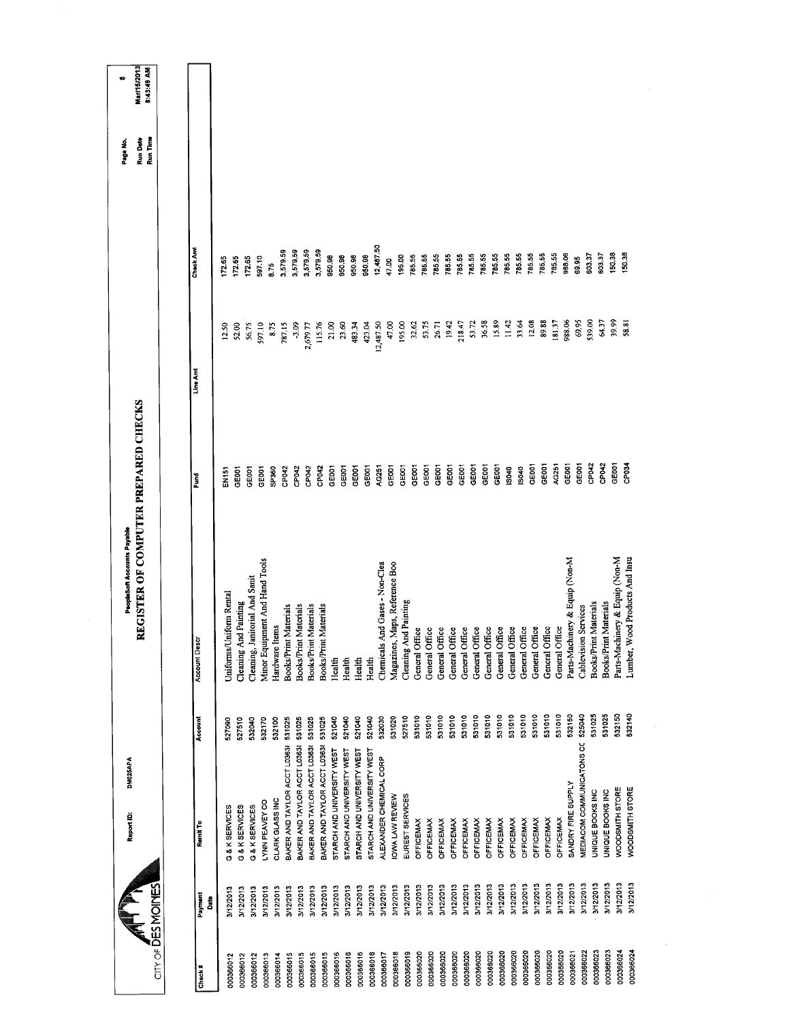| <b>Mar/15/2013</b><br>8:43:49 AM<br>Run Date<br>Run Time<br>12,487.50<br>Check And<br>3,579 59<br>3,579.59<br>3,579.59<br>3,579.59<br>950.98<br>785 55<br>785.55<br>150.38<br>150.38<br>950.98<br>785.55<br>785.55<br>785.55<br>785.55<br>785.55<br>785.55<br>785.55<br>988.06<br>950.98<br>950.98<br>195.00<br>785.55<br>785.55<br>785.55<br>603.37<br>603.37<br>785,55<br>172.65<br>172.65<br>597.10<br>69.95<br>172.65<br>47.00<br>8.75<br>539.00<br>39.99<br>36.58<br>15.89<br>33.64<br>12.08<br>89.88<br>181.37<br>988.06<br>69.95<br>64.37<br>58.81<br>11.42<br>12,487.50<br>47.00<br>195.00<br>32.62<br>53.75<br>19.42<br>218.47<br>53.72<br>115.76<br>21.00<br>23.60<br>26.71<br>597.10<br>$-3.09$<br>483.34<br>423.04<br>8.75<br>2,679.77<br>52.00<br>56.75<br>787.15<br>12.50<br>Line Amt<br>REGISTER OF COMPUTER PREPARED CHECKS<br>GEOD1<br>GEODT<br>GEOD1<br>AG251<br>GE001<br>CP042<br>CP042<br>CP034<br>GEOOT<br>GE001<br>GE001<br>GEOOT<br>GEDDT<br>GE001<br>GE001<br>AG251<br>CEOO1<br>GE001<br>GE001<br>GEOOT<br>GEOOT<br>SP360<br>CP042<br>CP042<br>GEOOT<br>GE001<br>GE001<br>IS040<br>IS040<br>GE001<br>GE001<br>CP042<br>CP042<br>GEOOT<br>EN151<br>Fund<br>Parts-Machinery & Equip (Non-M<br>Minor Equipment And Hand Tools<br>Parts-Machinery & Equip (Non-M<br>Lumber, Wood Products And Insu<br>Chemicals And Gases - Non-Clea<br>Magazines, Maps, Reference Boo<br>Cleaning, Janitorial And Sanit<br>Uniforms/Uniform Rental<br><b>Cleaning And Painting</b><br><b>Cleaning And Painting</b><br>Materials<br>Materials<br><b>Books/Print Materials</b><br>Books/Print Materials<br>Books/Print Materials<br>Books/Print Materials<br>Cablevision Services<br>Hardware Items<br>General Office<br>General Office<br>General Office<br>General Office<br>General Office<br>General Office<br>General Office<br>General Office<br>General Office<br>General Office<br>General Office<br>General Office<br>General Office<br><b>Books/Print</b><br><b>Books/Print</b><br><b>Account Descr</b><br>Health<br>Health<br>Health<br>Health<br>531010<br>532150<br>525040<br>531025<br>531025<br>532150<br>531010<br>531010<br>531010<br>531010<br>531010<br>531010<br>532140<br>531010<br>531010<br>531010<br>531010<br>531010<br>531010<br>521040<br>521040<br>532030<br>531020<br>527510<br>521040<br>521040<br>Account<br>531025<br>531025<br>531025<br>532040<br>532170<br>531025<br>527510<br>532100<br>527090<br>MEDIACOM COMMUNICATONS CO<br>BAKER AND TAYLOR ACCT L0363<br>BAKER AND TAYLOR ACCT L0363<br>BAKER AND TAYLOR ACCT L0363<br>BAKER AND TAYLOR ACCT L0363<br>STARCH AND UNIVERSITY WEST<br>STARCH AND UNIVERSITY WEST<br>STARCH AND UNIVERSITY WEST<br>STARCH AND UNIVERSITY WEST<br>ALEXANDER CHEMICAL CORP<br>SANDRY FIRE SUPPLY<br>WOODSMITH STORE<br>WOODSMITH STORE<br>UNIQUE BOOKS INC<br>UNIQUE BOOKS INC<br>IOWA LAW REVIEW<br>EUREST SERVICES<br>CLARK GLASS INC<br>LYNN PEAVEY CO<br>G & K SERVICES<br>G & K SERVICES<br>G & K SERVICES<br><b>OFFICEMAX</b><br><b>OFFICEMAX</b><br><b>OFFICEMAX</b><br><b>OFFICEMAX</b><br>OFFICEMAX<br><b>OFFICEMAX</b><br><b>OFFICEMAX</b><br>OFFICEMAX<br><b>OFFICEMAX</b><br>OFFICEMAX<br><b>OFFICEMAX</b><br>OFFICEMAX<br><b>OFFICEMAX</b><br>Remit To | 3/12/2013<br>3/12/2013<br>3/12/2013<br>3/12/2013<br>3/12/2013<br>3/12/2013<br>3/12/2013<br>3/12/2013<br>3/12/2013<br>3/12/2013<br>3/12/2013<br>3/12/2013<br>3/12/2013<br>3/12/2013<br>3/12/2013<br>3/12/2013<br>3/12/2013<br>3/12/2013<br>3/12/2013<br>3/12/2013<br>City of DES MOINES<br>3/12/2013<br>3/12/2013<br>3/12/2013<br>3/12/2013<br>3/12/2013<br>3/12/2013<br>3/12/2013<br>3/12/2013<br>3/12/2013<br>3/12/2013<br>3/12/2013<br>3/12/2013<br>3/12/2013<br>3/12/2013<br>3/12/2013<br>Payment<br>Date | Report ID: | DM025APA | PeopleSoft Accounts Payable |  | Page No. | œ |
|--------------------------------------------------------------------------------------------------------------------------------------------------------------------------------------------------------------------------------------------------------------------------------------------------------------------------------------------------------------------------------------------------------------------------------------------------------------------------------------------------------------------------------------------------------------------------------------------------------------------------------------------------------------------------------------------------------------------------------------------------------------------------------------------------------------------------------------------------------------------------------------------------------------------------------------------------------------------------------------------------------------------------------------------------------------------------------------------------------------------------------------------------------------------------------------------------------------------------------------------------------------------------------------------------------------------------------------------------------------------------------------------------------------------------------------------------------------------------------------------------------------------------------------------------------------------------------------------------------------------------------------------------------------------------------------------------------------------------------------------------------------------------------------------------------------------------------------------------------------------------------------------------------------------------------------------------------------------------------------------------------------------------------------------------------------------------------------------------------------------------------------------------------------------------------------------------------------------------------------------------------------------------------------------------------------------------------------------------------------------------------------------------------------------------------------------------------------------------------------------------------------------------------------------------------------------------------------------------------------------------------------------------------------------------------------------------------------------------------------------------------------------------------------------------------------------------------------------------------------------------------------------------------------------------------------------------------------------------------------------------------------------------------------------------------------------------------------------------------------------------------------------------------------------------------------------------------------------------------------------|--------------------------------------------------------------------------------------------------------------------------------------------------------------------------------------------------------------------------------------------------------------------------------------------------------------------------------------------------------------------------------------------------------------------------------------------------------------------------------------------------------------|------------|----------|-----------------------------|--|----------|---|
|                                                                                                                                                                                                                                                                                                                                                                                                                                                                                                                                                                                                                                                                                                                                                                                                                                                                                                                                                                                                                                                                                                                                                                                                                                                                                                                                                                                                                                                                                                                                                                                                                                                                                                                                                                                                                                                                                                                                                                                                                                                                                                                                                                                                                                                                                                                                                                                                                                                                                                                                                                                                                                                                                                                                                                                                                                                                                                                                                                                                                                                                                                                                                                                                                                            |                                                                                                                                                                                                                                                                                                                                                                                                                                                                                                              |            |          |                             |  |          |   |
|                                                                                                                                                                                                                                                                                                                                                                                                                                                                                                                                                                                                                                                                                                                                                                                                                                                                                                                                                                                                                                                                                                                                                                                                                                                                                                                                                                                                                                                                                                                                                                                                                                                                                                                                                                                                                                                                                                                                                                                                                                                                                                                                                                                                                                                                                                                                                                                                                                                                                                                                                                                                                                                                                                                                                                                                                                                                                                                                                                                                                                                                                                                                                                                                                                            |                                                                                                                                                                                                                                                                                                                                                                                                                                                                                                              |            |          |                             |  |          |   |
|                                                                                                                                                                                                                                                                                                                                                                                                                                                                                                                                                                                                                                                                                                                                                                                                                                                                                                                                                                                                                                                                                                                                                                                                                                                                                                                                                                                                                                                                                                                                                                                                                                                                                                                                                                                                                                                                                                                                                                                                                                                                                                                                                                                                                                                                                                                                                                                                                                                                                                                                                                                                                                                                                                                                                                                                                                                                                                                                                                                                                                                                                                                                                                                                                                            |                                                                                                                                                                                                                                                                                                                                                                                                                                                                                                              |            |          |                             |  |          |   |
|                                                                                                                                                                                                                                                                                                                                                                                                                                                                                                                                                                                                                                                                                                                                                                                                                                                                                                                                                                                                                                                                                                                                                                                                                                                                                                                                                                                                                                                                                                                                                                                                                                                                                                                                                                                                                                                                                                                                                                                                                                                                                                                                                                                                                                                                                                                                                                                                                                                                                                                                                                                                                                                                                                                                                                                                                                                                                                                                                                                                                                                                                                                                                                                                                                            |                                                                                                                                                                                                                                                                                                                                                                                                                                                                                                              |            |          |                             |  |          |   |
|                                                                                                                                                                                                                                                                                                                                                                                                                                                                                                                                                                                                                                                                                                                                                                                                                                                                                                                                                                                                                                                                                                                                                                                                                                                                                                                                                                                                                                                                                                                                                                                                                                                                                                                                                                                                                                                                                                                                                                                                                                                                                                                                                                                                                                                                                                                                                                                                                                                                                                                                                                                                                                                                                                                                                                                                                                                                                                                                                                                                                                                                                                                                                                                                                                            |                                                                                                                                                                                                                                                                                                                                                                                                                                                                                                              |            |          |                             |  |          |   |
|                                                                                                                                                                                                                                                                                                                                                                                                                                                                                                                                                                                                                                                                                                                                                                                                                                                                                                                                                                                                                                                                                                                                                                                                                                                                                                                                                                                                                                                                                                                                                                                                                                                                                                                                                                                                                                                                                                                                                                                                                                                                                                                                                                                                                                                                                                                                                                                                                                                                                                                                                                                                                                                                                                                                                                                                                                                                                                                                                                                                                                                                                                                                                                                                                                            |                                                                                                                                                                                                                                                                                                                                                                                                                                                                                                              |            |          |                             |  |          |   |
|                                                                                                                                                                                                                                                                                                                                                                                                                                                                                                                                                                                                                                                                                                                                                                                                                                                                                                                                                                                                                                                                                                                                                                                                                                                                                                                                                                                                                                                                                                                                                                                                                                                                                                                                                                                                                                                                                                                                                                                                                                                                                                                                                                                                                                                                                                                                                                                                                                                                                                                                                                                                                                                                                                                                                                                                                                                                                                                                                                                                                                                                                                                                                                                                                                            |                                                                                                                                                                                                                                                                                                                                                                                                                                                                                                              |            |          |                             |  |          |   |
|                                                                                                                                                                                                                                                                                                                                                                                                                                                                                                                                                                                                                                                                                                                                                                                                                                                                                                                                                                                                                                                                                                                                                                                                                                                                                                                                                                                                                                                                                                                                                                                                                                                                                                                                                                                                                                                                                                                                                                                                                                                                                                                                                                                                                                                                                                                                                                                                                                                                                                                                                                                                                                                                                                                                                                                                                                                                                                                                                                                                                                                                                                                                                                                                                                            |                                                                                                                                                                                                                                                                                                                                                                                                                                                                                                              |            |          |                             |  |          |   |
|                                                                                                                                                                                                                                                                                                                                                                                                                                                                                                                                                                                                                                                                                                                                                                                                                                                                                                                                                                                                                                                                                                                                                                                                                                                                                                                                                                                                                                                                                                                                                                                                                                                                                                                                                                                                                                                                                                                                                                                                                                                                                                                                                                                                                                                                                                                                                                                                                                                                                                                                                                                                                                                                                                                                                                                                                                                                                                                                                                                                                                                                                                                                                                                                                                            |                                                                                                                                                                                                                                                                                                                                                                                                                                                                                                              |            |          |                             |  |          |   |
|                                                                                                                                                                                                                                                                                                                                                                                                                                                                                                                                                                                                                                                                                                                                                                                                                                                                                                                                                                                                                                                                                                                                                                                                                                                                                                                                                                                                                                                                                                                                                                                                                                                                                                                                                                                                                                                                                                                                                                                                                                                                                                                                                                                                                                                                                                                                                                                                                                                                                                                                                                                                                                                                                                                                                                                                                                                                                                                                                                                                                                                                                                                                                                                                                                            |                                                                                                                                                                                                                                                                                                                                                                                                                                                                                                              |            |          |                             |  |          |   |
|                                                                                                                                                                                                                                                                                                                                                                                                                                                                                                                                                                                                                                                                                                                                                                                                                                                                                                                                                                                                                                                                                                                                                                                                                                                                                                                                                                                                                                                                                                                                                                                                                                                                                                                                                                                                                                                                                                                                                                                                                                                                                                                                                                                                                                                                                                                                                                                                                                                                                                                                                                                                                                                                                                                                                                                                                                                                                                                                                                                                                                                                                                                                                                                                                                            |                                                                                                                                                                                                                                                                                                                                                                                                                                                                                                              |            |          |                             |  |          |   |
|                                                                                                                                                                                                                                                                                                                                                                                                                                                                                                                                                                                                                                                                                                                                                                                                                                                                                                                                                                                                                                                                                                                                                                                                                                                                                                                                                                                                                                                                                                                                                                                                                                                                                                                                                                                                                                                                                                                                                                                                                                                                                                                                                                                                                                                                                                                                                                                                                                                                                                                                                                                                                                                                                                                                                                                                                                                                                                                                                                                                                                                                                                                                                                                                                                            |                                                                                                                                                                                                                                                                                                                                                                                                                                                                                                              |            |          |                             |  |          |   |
|                                                                                                                                                                                                                                                                                                                                                                                                                                                                                                                                                                                                                                                                                                                                                                                                                                                                                                                                                                                                                                                                                                                                                                                                                                                                                                                                                                                                                                                                                                                                                                                                                                                                                                                                                                                                                                                                                                                                                                                                                                                                                                                                                                                                                                                                                                                                                                                                                                                                                                                                                                                                                                                                                                                                                                                                                                                                                                                                                                                                                                                                                                                                                                                                                                            |                                                                                                                                                                                                                                                                                                                                                                                                                                                                                                              |            |          |                             |  |          |   |
|                                                                                                                                                                                                                                                                                                                                                                                                                                                                                                                                                                                                                                                                                                                                                                                                                                                                                                                                                                                                                                                                                                                                                                                                                                                                                                                                                                                                                                                                                                                                                                                                                                                                                                                                                                                                                                                                                                                                                                                                                                                                                                                                                                                                                                                                                                                                                                                                                                                                                                                                                                                                                                                                                                                                                                                                                                                                                                                                                                                                                                                                                                                                                                                                                                            |                                                                                                                                                                                                                                                                                                                                                                                                                                                                                                              |            |          |                             |  |          |   |
|                                                                                                                                                                                                                                                                                                                                                                                                                                                                                                                                                                                                                                                                                                                                                                                                                                                                                                                                                                                                                                                                                                                                                                                                                                                                                                                                                                                                                                                                                                                                                                                                                                                                                                                                                                                                                                                                                                                                                                                                                                                                                                                                                                                                                                                                                                                                                                                                                                                                                                                                                                                                                                                                                                                                                                                                                                                                                                                                                                                                                                                                                                                                                                                                                                            |                                                                                                                                                                                                                                                                                                                                                                                                                                                                                                              |            |          |                             |  |          |   |
|                                                                                                                                                                                                                                                                                                                                                                                                                                                                                                                                                                                                                                                                                                                                                                                                                                                                                                                                                                                                                                                                                                                                                                                                                                                                                                                                                                                                                                                                                                                                                                                                                                                                                                                                                                                                                                                                                                                                                                                                                                                                                                                                                                                                                                                                                                                                                                                                                                                                                                                                                                                                                                                                                                                                                                                                                                                                                                                                                                                                                                                                                                                                                                                                                                            |                                                                                                                                                                                                                                                                                                                                                                                                                                                                                                              |            |          |                             |  |          |   |
|                                                                                                                                                                                                                                                                                                                                                                                                                                                                                                                                                                                                                                                                                                                                                                                                                                                                                                                                                                                                                                                                                                                                                                                                                                                                                                                                                                                                                                                                                                                                                                                                                                                                                                                                                                                                                                                                                                                                                                                                                                                                                                                                                                                                                                                                                                                                                                                                                                                                                                                                                                                                                                                                                                                                                                                                                                                                                                                                                                                                                                                                                                                                                                                                                                            |                                                                                                                                                                                                                                                                                                                                                                                                                                                                                                              |            |          |                             |  |          |   |
|                                                                                                                                                                                                                                                                                                                                                                                                                                                                                                                                                                                                                                                                                                                                                                                                                                                                                                                                                                                                                                                                                                                                                                                                                                                                                                                                                                                                                                                                                                                                                                                                                                                                                                                                                                                                                                                                                                                                                                                                                                                                                                                                                                                                                                                                                                                                                                                                                                                                                                                                                                                                                                                                                                                                                                                                                                                                                                                                                                                                                                                                                                                                                                                                                                            |                                                                                                                                                                                                                                                                                                                                                                                                                                                                                                              |            |          |                             |  |          |   |
|                                                                                                                                                                                                                                                                                                                                                                                                                                                                                                                                                                                                                                                                                                                                                                                                                                                                                                                                                                                                                                                                                                                                                                                                                                                                                                                                                                                                                                                                                                                                                                                                                                                                                                                                                                                                                                                                                                                                                                                                                                                                                                                                                                                                                                                                                                                                                                                                                                                                                                                                                                                                                                                                                                                                                                                                                                                                                                                                                                                                                                                                                                                                                                                                                                            |                                                                                                                                                                                                                                                                                                                                                                                                                                                                                                              |            |          |                             |  |          |   |
|                                                                                                                                                                                                                                                                                                                                                                                                                                                                                                                                                                                                                                                                                                                                                                                                                                                                                                                                                                                                                                                                                                                                                                                                                                                                                                                                                                                                                                                                                                                                                                                                                                                                                                                                                                                                                                                                                                                                                                                                                                                                                                                                                                                                                                                                                                                                                                                                                                                                                                                                                                                                                                                                                                                                                                                                                                                                                                                                                                                                                                                                                                                                                                                                                                            |                                                                                                                                                                                                                                                                                                                                                                                                                                                                                                              |            |          |                             |  |          |   |
|                                                                                                                                                                                                                                                                                                                                                                                                                                                                                                                                                                                                                                                                                                                                                                                                                                                                                                                                                                                                                                                                                                                                                                                                                                                                                                                                                                                                                                                                                                                                                                                                                                                                                                                                                                                                                                                                                                                                                                                                                                                                                                                                                                                                                                                                                                                                                                                                                                                                                                                                                                                                                                                                                                                                                                                                                                                                                                                                                                                                                                                                                                                                                                                                                                            |                                                                                                                                                                                                                                                                                                                                                                                                                                                                                                              |            |          |                             |  |          |   |
|                                                                                                                                                                                                                                                                                                                                                                                                                                                                                                                                                                                                                                                                                                                                                                                                                                                                                                                                                                                                                                                                                                                                                                                                                                                                                                                                                                                                                                                                                                                                                                                                                                                                                                                                                                                                                                                                                                                                                                                                                                                                                                                                                                                                                                                                                                                                                                                                                                                                                                                                                                                                                                                                                                                                                                                                                                                                                                                                                                                                                                                                                                                                                                                                                                            |                                                                                                                                                                                                                                                                                                                                                                                                                                                                                                              |            |          |                             |  |          |   |
|                                                                                                                                                                                                                                                                                                                                                                                                                                                                                                                                                                                                                                                                                                                                                                                                                                                                                                                                                                                                                                                                                                                                                                                                                                                                                                                                                                                                                                                                                                                                                                                                                                                                                                                                                                                                                                                                                                                                                                                                                                                                                                                                                                                                                                                                                                                                                                                                                                                                                                                                                                                                                                                                                                                                                                                                                                                                                                                                                                                                                                                                                                                                                                                                                                            |                                                                                                                                                                                                                                                                                                                                                                                                                                                                                                              |            |          |                             |  |          |   |
|                                                                                                                                                                                                                                                                                                                                                                                                                                                                                                                                                                                                                                                                                                                                                                                                                                                                                                                                                                                                                                                                                                                                                                                                                                                                                                                                                                                                                                                                                                                                                                                                                                                                                                                                                                                                                                                                                                                                                                                                                                                                                                                                                                                                                                                                                                                                                                                                                                                                                                                                                                                                                                                                                                                                                                                                                                                                                                                                                                                                                                                                                                                                                                                                                                            |                                                                                                                                                                                                                                                                                                                                                                                                                                                                                                              |            |          |                             |  |          |   |
|                                                                                                                                                                                                                                                                                                                                                                                                                                                                                                                                                                                                                                                                                                                                                                                                                                                                                                                                                                                                                                                                                                                                                                                                                                                                                                                                                                                                                                                                                                                                                                                                                                                                                                                                                                                                                                                                                                                                                                                                                                                                                                                                                                                                                                                                                                                                                                                                                                                                                                                                                                                                                                                                                                                                                                                                                                                                                                                                                                                                                                                                                                                                                                                                                                            |                                                                                                                                                                                                                                                                                                                                                                                                                                                                                                              |            |          |                             |  |          |   |
|                                                                                                                                                                                                                                                                                                                                                                                                                                                                                                                                                                                                                                                                                                                                                                                                                                                                                                                                                                                                                                                                                                                                                                                                                                                                                                                                                                                                                                                                                                                                                                                                                                                                                                                                                                                                                                                                                                                                                                                                                                                                                                                                                                                                                                                                                                                                                                                                                                                                                                                                                                                                                                                                                                                                                                                                                                                                                                                                                                                                                                                                                                                                                                                                                                            |                                                                                                                                                                                                                                                                                                                                                                                                                                                                                                              |            |          |                             |  |          |   |
|                                                                                                                                                                                                                                                                                                                                                                                                                                                                                                                                                                                                                                                                                                                                                                                                                                                                                                                                                                                                                                                                                                                                                                                                                                                                                                                                                                                                                                                                                                                                                                                                                                                                                                                                                                                                                                                                                                                                                                                                                                                                                                                                                                                                                                                                                                                                                                                                                                                                                                                                                                                                                                                                                                                                                                                                                                                                                                                                                                                                                                                                                                                                                                                                                                            |                                                                                                                                                                                                                                                                                                                                                                                                                                                                                                              |            |          |                             |  |          |   |
|                                                                                                                                                                                                                                                                                                                                                                                                                                                                                                                                                                                                                                                                                                                                                                                                                                                                                                                                                                                                                                                                                                                                                                                                                                                                                                                                                                                                                                                                                                                                                                                                                                                                                                                                                                                                                                                                                                                                                                                                                                                                                                                                                                                                                                                                                                                                                                                                                                                                                                                                                                                                                                                                                                                                                                                                                                                                                                                                                                                                                                                                                                                                                                                                                                            |                                                                                                                                                                                                                                                                                                                                                                                                                                                                                                              |            |          |                             |  |          |   |
|                                                                                                                                                                                                                                                                                                                                                                                                                                                                                                                                                                                                                                                                                                                                                                                                                                                                                                                                                                                                                                                                                                                                                                                                                                                                                                                                                                                                                                                                                                                                                                                                                                                                                                                                                                                                                                                                                                                                                                                                                                                                                                                                                                                                                                                                                                                                                                                                                                                                                                                                                                                                                                                                                                                                                                                                                                                                                                                                                                                                                                                                                                                                                                                                                                            |                                                                                                                                                                                                                                                                                                                                                                                                                                                                                                              |            |          |                             |  |          |   |
|                                                                                                                                                                                                                                                                                                                                                                                                                                                                                                                                                                                                                                                                                                                                                                                                                                                                                                                                                                                                                                                                                                                                                                                                                                                                                                                                                                                                                                                                                                                                                                                                                                                                                                                                                                                                                                                                                                                                                                                                                                                                                                                                                                                                                                                                                                                                                                                                                                                                                                                                                                                                                                                                                                                                                                                                                                                                                                                                                                                                                                                                                                                                                                                                                                            |                                                                                                                                                                                                                                                                                                                                                                                                                                                                                                              |            |          |                             |  |          |   |
|                                                                                                                                                                                                                                                                                                                                                                                                                                                                                                                                                                                                                                                                                                                                                                                                                                                                                                                                                                                                                                                                                                                                                                                                                                                                                                                                                                                                                                                                                                                                                                                                                                                                                                                                                                                                                                                                                                                                                                                                                                                                                                                                                                                                                                                                                                                                                                                                                                                                                                                                                                                                                                                                                                                                                                                                                                                                                                                                                                                                                                                                                                                                                                                                                                            |                                                                                                                                                                                                                                                                                                                                                                                                                                                                                                              |            |          |                             |  |          |   |
|                                                                                                                                                                                                                                                                                                                                                                                                                                                                                                                                                                                                                                                                                                                                                                                                                                                                                                                                                                                                                                                                                                                                                                                                                                                                                                                                                                                                                                                                                                                                                                                                                                                                                                                                                                                                                                                                                                                                                                                                                                                                                                                                                                                                                                                                                                                                                                                                                                                                                                                                                                                                                                                                                                                                                                                                                                                                                                                                                                                                                                                                                                                                                                                                                                            |                                                                                                                                                                                                                                                                                                                                                                                                                                                                                                              |            |          |                             |  |          |   |
|                                                                                                                                                                                                                                                                                                                                                                                                                                                                                                                                                                                                                                                                                                                                                                                                                                                                                                                                                                                                                                                                                                                                                                                                                                                                                                                                                                                                                                                                                                                                                                                                                                                                                                                                                                                                                                                                                                                                                                                                                                                                                                                                                                                                                                                                                                                                                                                                                                                                                                                                                                                                                                                                                                                                                                                                                                                                                                                                                                                                                                                                                                                                                                                                                                            |                                                                                                                                                                                                                                                                                                                                                                                                                                                                                                              |            |          |                             |  |          |   |
|                                                                                                                                                                                                                                                                                                                                                                                                                                                                                                                                                                                                                                                                                                                                                                                                                                                                                                                                                                                                                                                                                                                                                                                                                                                                                                                                                                                                                                                                                                                                                                                                                                                                                                                                                                                                                                                                                                                                                                                                                                                                                                                                                                                                                                                                                                                                                                                                                                                                                                                                                                                                                                                                                                                                                                                                                                                                                                                                                                                                                                                                                                                                                                                                                                            |                                                                                                                                                                                                                                                                                                                                                                                                                                                                                                              |            |          |                             |  |          |   |
|                                                                                                                                                                                                                                                                                                                                                                                                                                                                                                                                                                                                                                                                                                                                                                                                                                                                                                                                                                                                                                                                                                                                                                                                                                                                                                                                                                                                                                                                                                                                                                                                                                                                                                                                                                                                                                                                                                                                                                                                                                                                                                                                                                                                                                                                                                                                                                                                                                                                                                                                                                                                                                                                                                                                                                                                                                                                                                                                                                                                                                                                                                                                                                                                                                            |                                                                                                                                                                                                                                                                                                                                                                                                                                                                                                              |            |          |                             |  |          |   |
|                                                                                                                                                                                                                                                                                                                                                                                                                                                                                                                                                                                                                                                                                                                                                                                                                                                                                                                                                                                                                                                                                                                                                                                                                                                                                                                                                                                                                                                                                                                                                                                                                                                                                                                                                                                                                                                                                                                                                                                                                                                                                                                                                                                                                                                                                                                                                                                                                                                                                                                                                                                                                                                                                                                                                                                                                                                                                                                                                                                                                                                                                                                                                                                                                                            |                                                                                                                                                                                                                                                                                                                                                                                                                                                                                                              |            |          |                             |  |          |   |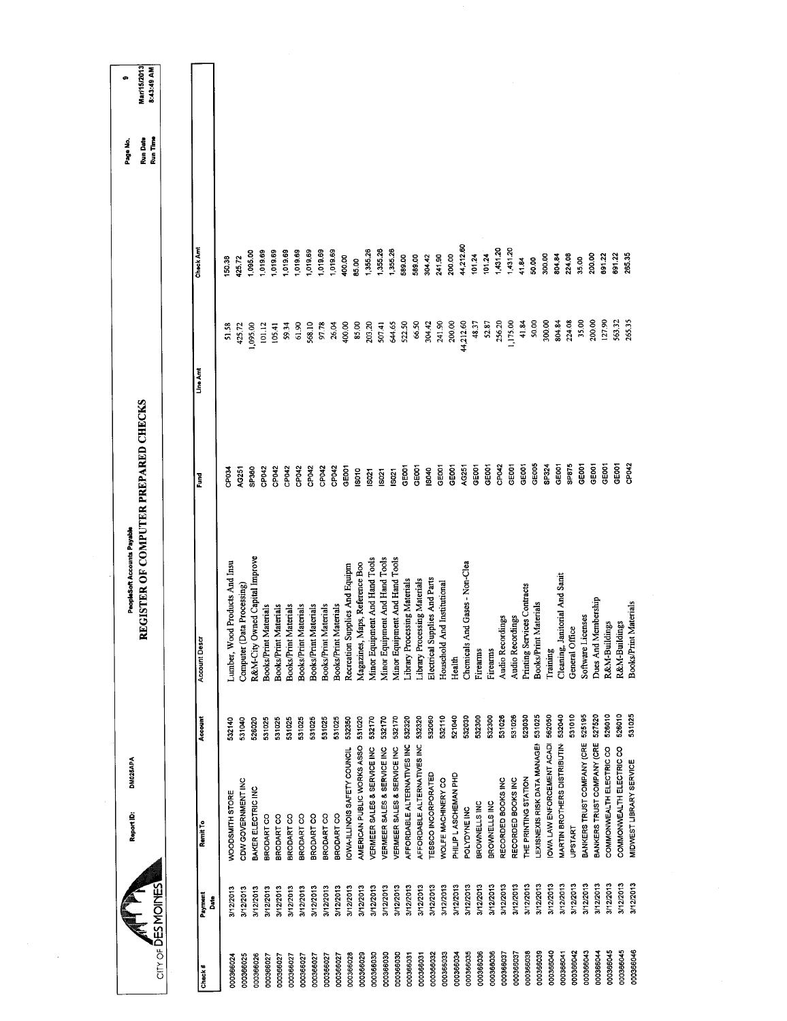|                                 |                        | <b>DN025APA</b><br>Report ID:          |         | REGISTER OF COMPUTER PREPARED CHECKS<br>PeopleSoft Accounts Payable |                   |           |           | Page No.             | Mar/15/2013<br>œ |
|---------------------------------|------------------------|----------------------------------------|---------|---------------------------------------------------------------------|-------------------|-----------|-----------|----------------------|------------------|
| $CITY OF \overline{D}ES MONFES$ |                        |                                        |         |                                                                     |                   |           |           | Run Time<br>Run Date | 8:43:49 AM       |
|                                 |                        |                                        |         |                                                                     |                   |           |           |                      |                  |
| Check #                         | Payment<br><b>Date</b> | Remit To                               | Account | Account Descr                                                       | Fund              | Line Am   | Check Am  |                      |                  |
| 000366024                       | 3/12/2013              | <b><i>NOODSMITH STORE</i></b>          | 532140  | ood Products And Insu<br>Lumber, W                                  | CP <sub>03</sub>  | 51.58     | 150.38    |                      |                  |
| 000366025                       | 3/12/2013              | CDW GOVERNMENT INC                     | 531040  | Data Processing)<br>Computer (                                      | AG251             | 425,72    | 425.72    |                      |                  |
| 000366026                       | 3/12/2013              | BAKER ELECTRIC INC                     | 526020  | Owned Capital Improve<br>R&M-City                                   | SP360             | 1,095.00  | 1,095.00  |                      |                  |
| 000366027                       | 3/12/2013              | BRODART CO                             | 531025  | <b>Books/Print Materials</b>                                        | CP042             | 101.12    | 1,019.69  |                      |                  |
| 000366027                       | 3/12/2013              | BRODART CO                             | 531025  | Books/Print Materials                                               | CP042             | 105.41    | 1,019.69  |                      |                  |
| 000366027                       | 3/12/2013              | BRODART CO                             | 531025  | <b>Books/Print Materials</b>                                        | CP042             | 59.34     | 1,019.69  |                      |                  |
| 000366027                       | 3/12/2013              | BRODART CO                             | 531025  | <b>Books/Print Materials</b>                                        | CP042             | 61.90     | 1,019.69  |                      |                  |
| 000366027                       | 3/12/2013              | BRODART CO                             | 531025  | Books/Print Materials                                               | CP042             | 568.10    | 1,019.69  |                      |                  |
| 000366027                       | 3/12/2013              | BRODART CO                             | 531025  | Books/Print Materials                                               | CP042             | 97.78     | ,019.69   |                      |                  |
| 000366027                       | 3/12/2013              | BRODART CO                             | 531025  | Books/Print Materials                                               | CP042             | 26.04     | 1,019.69  |                      |                  |
| 000366028                       | 3/12/2013              | OWA-ILLINOIS SAFETY COUNCIL            | 532350  | Supplies And Equipm<br>Recreation                                   | GE001             | 400.00    | 400.00    |                      |                  |
| 000366029                       | 3/12/2013              | AMERICAN PUBLIC WORKS ASSO             | 531020  | Magazines, Maps, Reference Boo                                      | isoto             | 85,00     | 95.00     |                      |                  |
| 000366030                       | 3/12/2013              | VERMEER SALES & SERVICE INC            | 532170  | Minor Equipment And Hand Tools                                      | S021              | 203.20    | 1,355.26  |                      |                  |
| 000366030                       | 3/12/2013              | <b>/ERMEER SALES &amp; SERVICE INC</b> | 532170  | Minor Equipment And Hand Tools                                      | <b>ISO21</b>      | 507.41    | 1,355.26  |                      |                  |
| 000366030                       | 3/12/2013              | VERMEER SALES & SERVICE INC            | 532170  | Minor Equipment And Hand Tools                                      | IS021             | 644,65    | 1,355.26  |                      |                  |
| 000366031                       | 3/12/2013              | AFFORDABLE ALTERNATIVES INC            | 532320  | Library Processing Materials                                        | GE001             | 522.50    | 589.00    |                      |                  |
| 000366031                       | 3/12/2013              | AFFORDABLE ALTERNATIVES INC            | 532320  | Library Processing Materials                                        | GE001             | 66.50     | 589.00    |                      |                  |
| 000366032                       | 3/12/2013              | <b>ESSCO INCORPORATED</b>              | 532060  | Electrical Supplies And Parts                                       | IS040             | 304.42    | 304.42    |                      |                  |
| 000366033                       | 3/12/2013              | WOLFE MACHINERY CO                     | 532110  | Household And Institutional                                         | GE001             | 241.90    | 241.90    |                      |                  |
| 000366034                       | 3/12/2013              | PHILIP LASCHEMAN PHD                   | 521040  | Health                                                              | GEOO1             | 200.00    | 200.00    |                      |                  |
| 000366035                       | 3/12/2013              | POLYDYNE INC                           | 532030  | And Gases - Non-Clea<br>Chemicals                                   | AG251             | 44,212.60 | 44,212.60 |                      |                  |
| 000366036                       | 3/12/2013              | BROWNELLS INC                          | 532300  | Firearms                                                            | GEOOT             | 48.37     | 101.24    |                      |                  |
| 000366036                       | 3/12/2013              | BROWNELLS INC                          | 532300  | Firearms                                                            | GE001             | 52.87     | 101.24    |                      |                  |
| 000366037                       | 3/12/2013              | RECORDED BOOKS INC                     | 531026  | Audio Recordings                                                    | CP042             | 256.20    | 1,431.20  |                      |                  |
| 000366037                       | 3/12/2013              | RECORDED BOOKS INC                     | 531026  | Audio Recordings                                                    | CE001             | 1,175.00  | 1,431.20  |                      |                  |
| 000366038                       | 3/12/2013              | THE PRINTING STATION                   | 523030  | Printing Services Contracts                                         | GE001             | 41.84     | 41.84     |                      |                  |
| 000366039                       | 3/12/2013              | LEXISNEXIS RISK DATA MANAGEN           | 531025  | <b>Books/Print Materials</b>                                        | GEOOS             | 50.00     | 50.00     |                      |                  |
| 000365040                       | 3/12/2013              | OWA LAW ENFORCEMENT ACADI              | 562050  | Training                                                            | SP324             | 300.00    | 300,00    |                      |                  |
| 000366041                       | 3/12/2013              | MARTIN BROTHERS DISTRIBUTIN            | 532040  | Janitorial And Sanit<br>Cleaning,                                   | GE001             | 804.84    | 804.84    |                      |                  |
| 000366042                       | 3/12/2013              | <b>UPSTART</b>                         | 531010  | General Office                                                      | <b>SP875</b>      | 224.08    | 224.08    |                      |                  |
| 000366043                       | 3/12/2013              | BANKERS TRUST COMPANY (CRE             | 525195  | Software Licenses                                                   | GE <sub>001</sub> | 35.00     | 35.00     |                      |                  |
| 000366044                       | 3/12/2013              | BANKERS TRUST COMPANY (CRE             | 527520  | Dues And Membership                                                 | GE001             | 200.00    | 200.00    |                      |                  |
| 000366045                       | 3/12/2013              | COMMONWEALTH ELECTRIC CO               | 526010  | R&M-Buildings                                                       | GE <sub>001</sub> | 127.90    | 691.22    |                      |                  |
| 000366045                       | 3/12/2013              | COMMONWEALTH ELECTRIC CO               | 528010  | R&M-Buildings                                                       | GE001             | 56332     | 691.22    |                      |                  |
| 000366046                       | 3/12/2013              | MIDWEST LIBRARY SERVICE                | 531025  | Books/Print Materials                                               | CP042             | 265.35    | 265.35    |                      |                  |
|                                 |                        |                                        |         |                                                                     |                   |           |           |                      |                  |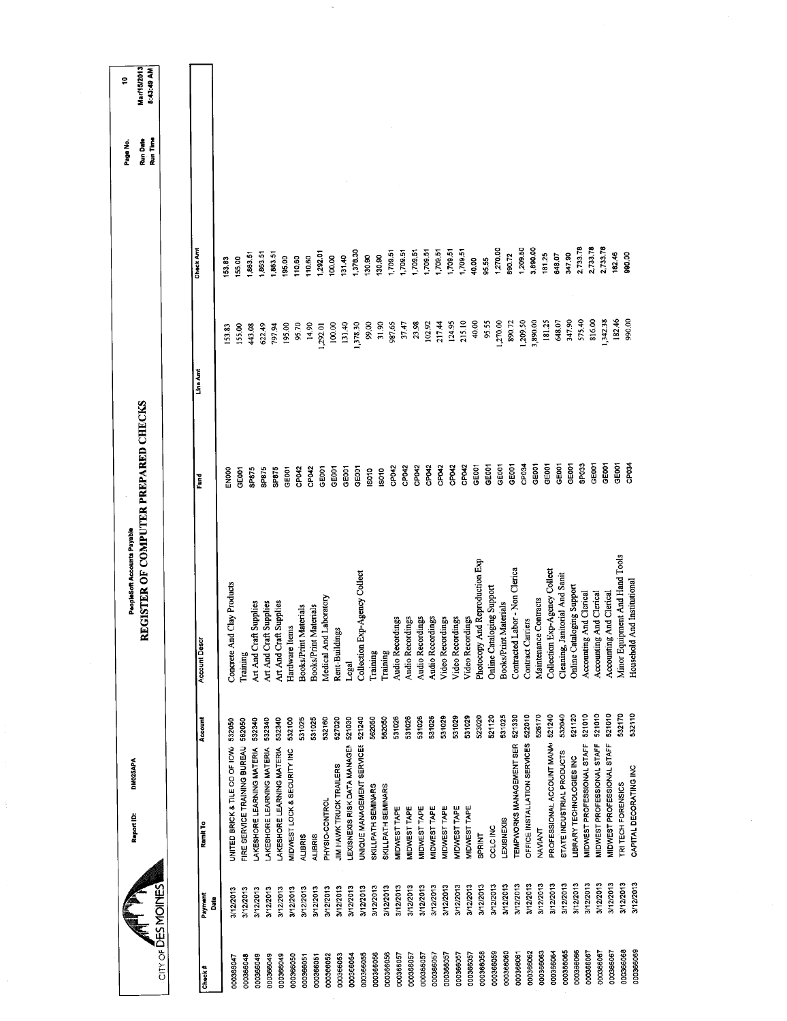|                    |                             | DM025APA<br>Report ID:            |         | PeopleSoft Accounts Payable            |                   |          |                  | Page No.             | ş                                |
|--------------------|-----------------------------|-----------------------------------|---------|----------------------------------------|-------------------|----------|------------------|----------------------|----------------------------------|
| CITY OF DES MOINES |                             |                                   |         | REGISTER OF COMPUTER PREPARED CHECKS   |                   |          |                  | Run Time<br>Run Date | <b>Mar/15/2013</b><br>8:43:49 AM |
|                    |                             |                                   |         |                                        |                   |          |                  |                      |                                  |
| Payment<br>Check # |                             | Remit To                          | Account | <b>Account Desa</b>                    | Fund              | Line Amt | <b>Check And</b> |                      |                                  |
| Date               |                             |                                   |         |                                        |                   |          |                  |                      |                                  |
| 000366047          | 3/12/2013                   | UNITED BRICK & TILE CO OF IOW     | 532050  | Concrete And Clay Products             | S<br>Noo          | 153.83   | 153.83           |                      |                                  |
| 000366048          | 3/12/2013                   | FIRE SERVICE TRAINING BUREAU      | 562050  | Training                               | GE001             | 155.00   | 155.00           |                      |                                  |
| 000366049          | 3/12/2013                   | LAKESHORE LEARNING MATERIA        | 532340  | Art And Craft Supplies                 | SP875             | 443.08   | 1,863.51         |                      |                                  |
|                    | 3/12/2013                   | LAKESHORE LEARNING MATERIA        | 532340  | Art And Craft Supplies                 | SP875             | 622.49   | 1,863.51         |                      |                                  |
| 000366049          | 3/12/2013                   | LAKESHORE LEARNING MATERIA        | 532340  | Art And Craft Supplies                 | SP875             | 797.94   | 1,863.51         |                      |                                  |
| 000366049          | 3/12/2013                   | MIDWEST LOCK & SECURITY INC       | 532100  | Hardware Items                         | GE001             | 195.00   | 195.00           |                      |                                  |
| 000366050          | <b>ALIBRIS</b><br>3/12/2013 |                                   | 531025  | Books/Print Materials                  | CP042             | 95.70    | 110.60           |                      |                                  |
| 000366051          | <b>ALIBRIS</b>              |                                   | 531025  | Books/Print Materials                  | CP042             | 14.90    | 10.60            |                      |                                  |
| 000366051          | 3/12/2013                   | PHYSIO-CONTROL                    | 532160  | Medical And Laboratory                 | GE001             | 1,292.01 | 1,292.01         |                      |                                  |
| 000366052          | 3/12/2013                   | JIM HAWK TRUCK TRAILERS           | 527020  | Rent-Buildings                         | GE001             | 100.00   | 100.00           |                      |                                  |
| 000366053          | 3/12/2013                   | LEXISNEXIS RISK DATA MANAGEM      | 521030  |                                        | GE001             | 131.40   | 131.40           |                      |                                  |
| 000366054          | 3/12/2013                   |                                   | 521240  | Collection Exp-Agency Collect<br>Legal | GE001             | 1,378.30 | 1,378.30         |                      |                                  |
| 000366055          | 3/12/2013                   | UNIQUE MANAGEMENT SERVICES        | 562050  |                                        | <b>ISO10</b>      | 99.00    | 130.90           |                      |                                  |
| 000366056          | 3/12/2013                   | SKILLPATH SEMINARS                |         | Training                               | ISO10             | 31.90    | 130.90           |                      |                                  |
| 000366056          | 3/12/2013                   | SKILLPATH SEMINARS                | 562050  | Training                               | CP042             | 987.65   | 1,709.51         |                      |                                  |
| 000366057          | 3/12/2013                   | MIDWEST TAPE                      | 531026  | Audio Recordings                       | CP042             | 37.47    | 1,709.51         |                      |                                  |
| 000366057          | 3/12/2013                   | MIDWEST TAPE                      | 531026  | Audio Recordings                       |                   |          | 1,709.51         |                      |                                  |
| 000366057          | 3/12/2013                   | MIDWEST TAPE                      | 531026  | Audio Recordings                       | CP042             | 23.98    | 1,709.51         |                      |                                  |
| 000366057          | 3/12/2013                   | MIDWEST TAPE                      | 531026  | Audio Recordings                       | CP <sub>042</sub> | 102.92   | 1,709.51         |                      |                                  |
| 000366057          | 3/12/2013                   | MIDWEST TAPE                      | 531029  | Video Recordings                       | CP042             | 217.44   | 1,709.51         |                      |                                  |
| 000366057          | 3/12/2013                   | MIDWEST TAPE                      | 531029  | Video Recordings                       | CP042             | 124.95   | 1,709.51         |                      |                                  |
| 000366057          | 3/12/2013                   | MIDWEST TAPE                      | 531029  | Video Recordings                       | CP042             | 215.10   |                  |                      |                                  |
| 000366058          | 3/12/2013                   | <b>SPRINT</b>                     | 523020  | Photocopy And Reproduction Exp         | GE001             | 40.00    | 10.00            |                      |                                  |
| 000366059          | 3/12/2013                   | <b>OCLC INC</b>                   | 521120  | Online Cataloging Support              | GE001             | 95.55    | 35.55            |                      |                                  |
| 000366060          | 3/12/2013                   | LEXISNEXIS                        | 531025  | Books/Print Materials                  | GE001             | 1,270.00 | 1,270.00         |                      |                                  |
| 000366061          | 3/12/2013                   | TEMPWORKS MANAGEMENT SER          | 521330  | Contracted Labor - Non Clerica         | GEOD1             | 890.72   | 890.72           |                      |                                  |
| 000366062          | 3/12/2013                   | OFFICE INSTALLATION SERVICES      | 522010  | Contract Carriers                      | CP034             | (209.50) | 1,209.50         |                      |                                  |
| 000366063          | 3/12/2013                   | NAVIANT                           | 526170  | Maintenance Contracts                  | GE001             | 3,890.00 | 3,890.00         |                      |                                  |
| 000366064          | 3/12/2013                   | PROFESSIONAL ACCOUNT MANA         | 521240  | Collection Exp-Agency Collect          | GE001             | 181.25   | 181.25           |                      |                                  |
|                    | 3/12/2013                   | STATE INDUSTRIAL PRODUCTS         | 532040  | Cleaning, Janitorial And Sanit         | GE001             | 648.07   | 648.07           |                      |                                  |
| 000366065          |                             | LIBRARY TECHNOLOGIES INC          | 521120  | Online Cataloging Support              | GE001             | 347.90   | 347.90           |                      |                                  |
| 000366066          | 3/12/2013<br>3/12/2013      | MIDWEST PROFESSIONAL STAFF        | 521010  | Accounting And Clerical                | SP033             | 575.40   | 2,733.78         |                      |                                  |
| 000366067          |                             |                                   | 521010  | And Clerical                           | GE001             | 816.00   | 2,733.78         |                      |                                  |
| 000366067          | 3/12/2013                   | MIDWEST PROFESSIONAL STAFF        |         | Accounting                             | GEOOT             | 1,342.38 | 2,733.78         |                      |                                  |
| 000366067          | 3/12/2013                   | <b>MIDWEST PROFESSIONAL STAFF</b> | 521010  | Accounting And Clerical                | GE001             | 182.46   | 182.46           |                      |                                  |
| 000366068          | 3/12/2013                   | TRI TECH FORENSICS                | 532170  | Minor Equipment And Hand Tools         | CP034             | 990,00   | 990.00           |                      |                                  |
| 000366069          | 3/12/2013                   | CAPITAL DECORATING INC            | 532110  | Household And Institutional            |                   |          |                  |                      |                                  |
|                    |                             |                                   |         |                                        |                   |          |                  |                      |                                  |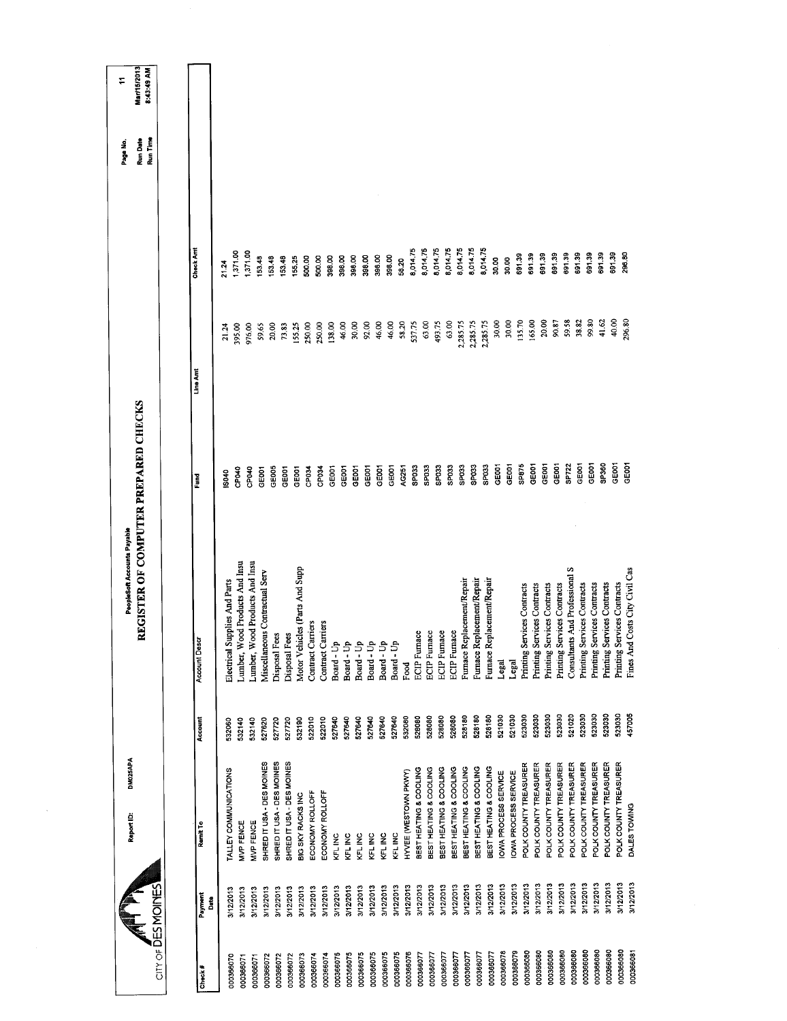| City of DES MOINES |                 | DM025APA<br>Report ID:       |         | REGISTER OF COMPUTER PREPARED CHECKS<br>PeopleSoft Accounts Payable |                   |                |                   | Run Time<br>Run Date<br>Page No. | Mar/15/2013<br>8:43:49 AM<br>÷ |
|--------------------|-----------------|------------------------------|---------|---------------------------------------------------------------------|-------------------|----------------|-------------------|----------------------------------|--------------------------------|
|                    |                 |                              |         |                                                                     |                   |                |                   |                                  |                                |
| Check #            | Payment<br>Date | Ramit To                     | Account | <b>Account Descr</b>                                                | Fund              | Line Am        | Check Am          |                                  |                                |
| 000366070          | 3/12/2013       | TALLEY COMMUNICATIONS        | 532060  | Electrical Supplies And Parts                                       | \$040             | 21.24          | 21.24             |                                  |                                |
| 000366071          | 3/12/2013       | MVP FENCE                    | 532140  | Lumber, Wood Products And Insu                                      | CPO40             | 395.00         | 1,371.00          |                                  |                                |
| 000366071          | 3/12/2013       | MVP FENCE                    | 532140  | Lumber, Wood Products And Insu                                      | CP040             | 976.00         | 1,371.00          |                                  |                                |
| 000366072          | 3/12/2013       | SHRED IT USA - DES MOINES    | 527620  | Miscellaneous Contractual Serv                                      | GEOOT             | 59.65          | 153.48            |                                  |                                |
| 000366072          | 3/12/2013       | SHRED IT USA - DES MOINES    | 527720  | Disposal Fees                                                       | GE005             | 20.00          | 153.48            |                                  |                                |
| 000366072          | 3/12/2013       | SHRED IT USA - DES MOINES    | 527720  | Disposal Fees                                                       | GE001             | 73.83          | 153.48            |                                  |                                |
| 000366073          | 3/12/2013       | BIG SKY RACKS INC            | 532190  | Motor Vehicles (Parts And Supp                                      | GEDOT             | 155.25         | 155.25            |                                  |                                |
| 000366074          | 3/12/2013       | ECONOMY ROLLOFF              | 522010  | Contract Carriers                                                   | CP <sub>034</sub> | 250.00         | 500.00            |                                  |                                |
| 000366074          | 3/12/2013       | ECONOMY ROLLOFF              | 522010  | Contract Carriers                                                   | CP034             | 250.00         | 500.00            |                                  |                                |
| 000366075          | 3/12/2013       | KFL INC                      | 527640  | Board - Up                                                          | GE001             | 138.00         | 398.00            |                                  |                                |
| 000366075          | 3/12/2013       | KFL INC                      | 527640  | Board - Up                                                          | GE001             | 46.00          | 398.00            |                                  |                                |
| 000366075          | 3/12/2013       | KFL INC                      | 527640  | Board - Up                                                          | GE001             | 30.00          | 398.00            |                                  |                                |
| 000366075          | 3/12/2013       | KFL INC                      | 527640  | Board - Up                                                          | GEOOT             | 92.00          | 398.00            |                                  |                                |
| 000366075          | 3/12/2013       | KEL INC                      | 527640  | Board - Up                                                          | GE <sub>001</sub> | 46,00          | 398.00            |                                  |                                |
| 000366075          | 3/12/2013       | KFL INC                      | 527640  | Board - Up                                                          | GE001             | 46.00          | 398.00            |                                  |                                |
| 000366076          | 3/12/2013       | HYVEE (WESTOWN PKWY)         | 532080  | Food                                                                | AG251             | 58.20          | 58.20             |                                  |                                |
| 000366077          | 3/12/2013       | BEST HEATING & COOLING       | 528080  | <b>ECIP</b> Furnace                                                 | SPO33             | 537.75         | 8,014.75          |                                  |                                |
| 000366077          | 3/12/2013       | BEST HEATING & COOLING       | 528080  | <b>ECIP</b> Furnace                                                 | SP033             | 63.00          | 8,014.75          |                                  |                                |
| 000366077          | 3/12/2013       | BEST HEATING & COOLING       | 528080  | <b>ECIP</b> Furnace                                                 | SPO33             | 493.75         | 8,01475           |                                  |                                |
| 000366077          | 3/12/2013       | BEST HEATING & COOLING       | 528080  | <b>ECIP</b> Furnace                                                 | SP <sub>033</sub> | 63.00          | 8,014.75          |                                  |                                |
| 000366077          | 3/12/2013       | BEST HEATING & COOLING       | 528180  | Furnace Replacement/Repair                                          | SPO33             | 2,285.75       | 8,014.75          |                                  |                                |
| 000366077          | 3/12/2013       | BEST HEATING & COOLING       | 528180  | Furnace Replacement/Repair                                          | SP033             | 2,285.75       | 8,014.75          |                                  |                                |
| 000366077          | 3/12/2013       | BEST HEATING & COOLING       | 528180  | Furnace Replacement/Repain                                          | SP033             | 2,285.75       | 8,014.75<br>30.00 |                                  |                                |
| 000366078          | 3/12/2013       | OWA PROCESS SERVICE          | 521030  | Legal                                                               | GE001             | 30.00<br>30.00 | 30.00             |                                  |                                |
| 000366079          | 3/12/2013       | OWA PROCESS SERVICE          | 521030  | Legal                                                               | GEODT             | 135.70         | 691.39            |                                  |                                |
| 000366080          | 3/12/2013       | POLK COUNTY TREASURER        | 523030  | Printing Services Contracts                                         | SP875             | 165.00         | 691.39            |                                  |                                |
| 000366080          | 3/12/2013       | POLK COUNTY TREASURER        | 523030  | Printing Services Contracts                                         | GE001             |                | 691.39            |                                  |                                |
| 000366080          | 3/12/2013       | POLK COUNTY TREASURER        | 523030  | Printing Services Contracts                                         | GEOOT             | 20.00          | 691.39            |                                  |                                |
| 000366080          | 3/12/2013       | POLK COUNTY TREASURER        | 523030  | Printing Services Contracts                                         | GE001             | 90.87          |                   |                                  |                                |
| 000366080          | 3/12/2013       | POLK COUNTY TREASURER        | 521020  | Consultants And Professional S                                      | SP722             | 59.58          | 691.39<br>691.39  |                                  |                                |
| 000366080          | 3/12/2013       | POLK COUNTY TREASURER        | 523030  | Printing Services Contracts                                         | GE001             | 38.82          | 691.39            |                                  |                                |
| 000366080          | 3/12/2013       | POLK COUNTY TREASURER        | 523030  | Printing Services Contracts                                         | GE001             | 99.80          |                   |                                  |                                |
| 000366080          | 3/12/2013       | POLK COUNTY TREASURER        | 523030  | Printing Services Contracts                                         | SP360             | 41.62          | 691.39            |                                  |                                |
| 000366080          | 3/12/2013       | <b>POLK COUNTY TREASURER</b> | 523030  | Printing Services Contracts                                         | GE001             | 40,00          | 691.39            |                                  |                                |
| 000366081          | 3/12/2013       | DALES TOWING                 | 457005  | Fines And Costs City Civil Cas                                      | GE001             | 296,80         | 296.80            |                                  |                                |
|                    |                 |                              |         |                                                                     |                   |                |                   |                                  |                                |

 $\mathcal{A}^{\mathcal{A}}$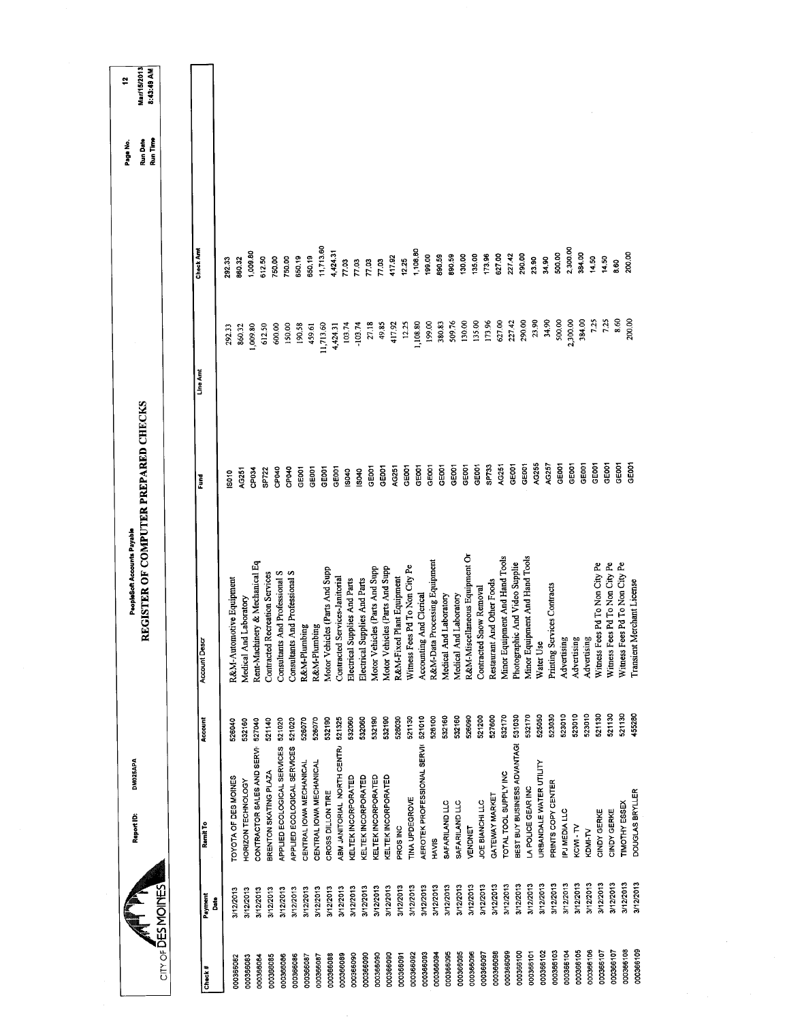|                        |           | DM025APA<br>Report ID:             |         | PeopleSoft Accounts Payable           |              |           |                  | Page No.             | ÷,                        |
|------------------------|-----------|------------------------------------|---------|---------------------------------------|--------------|-----------|------------------|----------------------|---------------------------|
|                        |           |                                    |         | REGISTER OF COMPUTER PREPARED CHECKS  |              |           |                  | Run Time<br>Run Date | Mar/15/2013<br>8:43:49 AM |
| CITY OF DES MOINES     |           |                                    |         |                                       |              |           |                  |                      |                           |
|                        | Payment   | Ramit To                           | Account | Account Descr                         | Ē            | Line Amt  | <b>Check And</b> |                      |                           |
| Check #                | å         |                                    |         |                                       |              |           |                  |                      |                           |
|                        | 3/12/2013 | TOYOTA OF DES MOINES               | 526040  | R&M-Automotive Equipment              | IS010        | 292.33    | 292.33           |                      |                           |
| 000366082              | 3/12/2013 | HORIZON TECHNOLOGY                 | 532160  | Medical And Laboratory                | <b>4G251</b> | 860.32    | 860.32           |                      |                           |
| 000366083<br>000366084 | 3/12/2013 | CONTRACTOR SALES AND SERVI         | 527040  | Rent-Machinery & Mechanical Eq        | CP034        | 1,009.80  | 1,009.80         |                      |                           |
|                        | 3/12/2013 | BRENTON SKATING PLAZA              | 521140  | <b>Contracted Recreation Services</b> | SP722        | 612.50    | 612.50           |                      |                           |
| 000366085<br>000366086 | 3/12/2013 | APPLIED ECOLOGICAL SERVICES        | 521020  | Consultants And Professional S        | CP040        | 600.00    | 750.00           |                      |                           |
|                        | 3/12/2013 | APPLIED ECOLOGICAL SERVICES        | 521020  | Consultants And Professional S        | CPO40        | 150.00    | 750.00           |                      |                           |
| 000366086<br>000366087 | 3/12/2013 | CENTRAL IOWA MECHANICAL            | 526070  | R&M-Plumbing                          | GEOOT        | 190.58    | 650.19           |                      |                           |
| 000366087              | 3/12/2013 | CENTRAL IOWA MECHANICAL            | 526070  | R&M-Plumbing                          | GE001        | 459.61    | 650.19           |                      |                           |
| 000366088              | 3/12/2013 | CROSS DILLON TIRE                  | 532190  | Motor Vehicles (Parts And Supp        | GEOOT        | 11,713.60 | 11,713.60        |                      |                           |
| 000366089              | 3/12/2013 | ABM JANITORIAL NORTH CENTRA        | 521325  | Contracted Services-Janitorial        | GEOOT        | 4,424.31  | 4,424.31         |                      |                           |
| 000366090              | 3/12/2013 | KELTEK INCORPORATED                | 532060  | Electrical Supplies And Parts         | IS040        | 103.74    | 77.03            |                      |                           |
| 000366090              | 3/12/2013 | KELTEK INCORPORATED                | 532060  | Electrical Supplies And Parts         | \$040        | $-103.74$ | 77.03            |                      |                           |
| 000366090              | 3/12/2013 | KELTEK INCORPORATED                | 532190  | Motor Vehicles (Parts And Supp        | GEOC1        | 27.18     | 77.03            |                      |                           |
| 000366090              | 3/12/2013 | KELTEK INCORPORATED                | 532190  | Motor Vehicles (Parts And Supp        | GEOOT        | 49.85     | 77.03            |                      |                           |
|                        | 3/12/2013 | PROS INC                           | 526030  | R&M-Fixed Plant Equipment             | AG251        | 417.92    | 417.92           |                      |                           |
| 000366092<br>000366091 | 3/12/2013 | TINA UPDEGROVE                     | 521130  | Witness Fees Pd To Non City Pe        | GE001        | 12.25     | 12.25            |                      |                           |
| 000366093              | 3/12/2013 | AEROTEK PROFESSIONAL SERVIK 521010 |         | Accounting And Clerical               | GEOOT        | 1,108.80  | 1,108.80         |                      |                           |
| 000366094              | 3/12/2013 | <b>HAVIS</b>                       | 526100  | R&M-Data Processing Equipment         | GEOOT        | 199.00    | 199.00           |                      |                           |
| 000366095              | 3/12/2013 | SAFARILAND LLC                     | 532160  | Medical And Laboratory                | GEOOT        | 380.83    | 890.59           |                      |                           |
| 000366095              | 3/12/2013 | SAFARILAND LLC                     | 532160  | Medical And Laboratory                | GEOOT        | 509.76    | 890.59           |                      |                           |
| 000366096              | 3/12/2013 | VENDNET                            | 526090  | R&M-Miscellaneous Equipment Or        | GE001        | 130.00    | 130.00           |                      |                           |
| 000366097              | 3/12/2013 | JOE BIANCHI LLC                    | 521200  | Snow Removal<br>Contracted            | GE001        | 135.00    | 135.00           |                      |                           |
| 000366098              | 3/12/2013 | GATEWAY MARKET                     | 527600  | And Other Foods<br>Restaurant         | <b>SP733</b> | 173.96    | 173.96           |                      |                           |
| 000366099              | 3/12/2013 | TOTAL TOOL SUPPLY INC              | 532170  | Minor Equipment And Hand Tools        | AG251        | 627.00    | 627.00           |                      |                           |
| 000366100              | 3/12/2013 | BEST BUY BUSINESS ADVANTAGE        | 531030  | Photographic And Video Supplie        | GE001        | 227.42    | 227.42           |                      |                           |
| 000366101              | 3/12/2013 | LA POLICE GEAR INC                 | 532170  | Minor Equipment And Hand Tools        | GE001        | 290.00    | 290.00           |                      |                           |
| 000366102              | 3/12/2013 | URBANDALE WATER UTILITY            | 525050  | Water Use                             | AG255        | 23.90     | 23.90            |                      |                           |
| 000366103              | 3/12/2013 | PRINTS COPY CENTER                 | 523030  | Printing Services Contracts           | AG257        | 34.90     | <b>S4.90</b>     |                      |                           |
| 000366104              | 3/12/2013 | PJ MEDIA LLC                       | 523010  | Advertising                           | GEOOT        | 500,00    | 500.00           |                      |                           |
| 000366105              | 3/12/2013 | KCWI-TV                            | 523010  | Advertising                           | GE001        | 2,300.00  | 2,300.00         |                      |                           |
| 000366106              | 3/12/2013 | KDMI-TV                            | 523010  | Advertising                           | GEOOT        | 384.00    | 384.00           |                      |                           |
| 000366107              | 3/12/2013 | <b>CINDY GERKE</b>                 | 521130  | Witness Fees Pd To Non City Pe        | GE001        | 725       | 14.50            |                      |                           |
| 000366107              | 3/12/2013 | CINDY GERKE                        | 521130  | Witness Fees Pd To Non City Pe        | GEOO1        | 7.25      | 14.50            |                      |                           |
| 000366108              | 3/12/2013 | <b>TIMOTHY ESSEX</b>               | 521130  | Witness Fees Pd To Non City Pe        | GE001        | 8.60      | 8.60             |                      |                           |
|                        | 3/12/2013 | DOUGLAS BRYLLER                    | 455280  | Transient Merchant License            | GE001        | 200,00    | 200.00           |                      |                           |
| 000366109              |           |                                    |         |                                       |              |           |                  |                      |                           |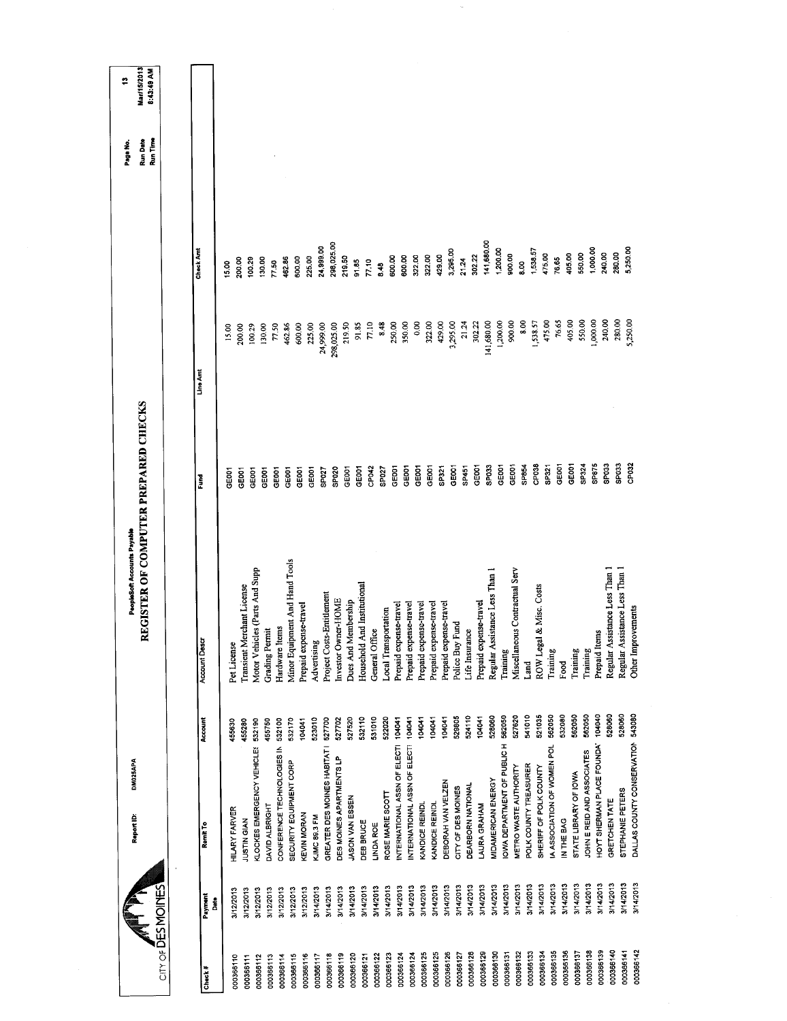| 141,680.00<br>298,025.00<br>24,999.00<br>1,000.00<br>1,200.00<br>5,250.00<br>Check Am<br>3,295.00<br>1,538.57<br>240.00<br>280.00<br>550.00<br>900.00<br>405.00<br>475.00<br>302.22<br>322.00<br>429.00<br>219.50<br>600.00<br>322.00<br>600.00<br>225.00<br>600.00<br>462.86<br>76,65<br>100.29<br>200.00<br>130.00<br>21.24<br>91.85<br>77.10<br>8.00<br>77.50<br>15.00<br>8.48<br>1,000.00<br>240.00<br>280,00<br>5,250.00<br>76.65<br>405.00<br>550.00<br>900.00<br>8.00<br>475.00<br>141,680.00<br>1,200.00<br>1,538.57<br>429.00<br>3,295.00<br>21.24<br>302.22<br>77.10<br>8.48<br>250,00<br>350.00<br>0.00<br>322.00<br>219.50<br>91.85<br>24,999.00<br>298,025.00<br>77.50<br>462.86<br>600.00<br>225.00<br>200.00<br>100.29<br>130.00<br>15.00<br>Line Amt<br>CP032<br>GE001<br>CP <sub>038</sub><br>SP324<br>SP875<br>SPO33<br>SPO33<br>GE001<br>SP854<br>SP321<br>GE001<br>GEOOT<br>SPO33<br>GE001<br>GE001<br>SP451<br>GE001<br>GEOOT<br>GE001<br>GE001<br>GEOOT<br>CP042<br>SP027<br>GE001<br>SP321<br>GE001<br>SPO <sub>20</sub><br>GE001<br>GEOOT<br>GE001<br>GE001<br>SP027<br>GE001<br><b>GEOOT</b><br><b>GEOOT</b><br>Fund<br>Minor Equipment And Hand Tools<br>Motor Vehicles (Parts And Supp<br>Regular Assistance Less Than 1<br>Miscellaneous Contractual Serv<br>Regular Assistance Less Than 1<br>Regular Assistance Less Than 1<br>Household And Institutional<br>Transient Merchant License<br>ROW Legal & Misc. Costs<br>Project Costs-Entitlement<br>Investor Owner-HOME<br>Dues And Membership<br>Prepaid expense-travel<br>Prepaid expense-travel<br>Prepaid expense-travel<br>Prepaid expense-travel<br>Prepaid expense-travel<br>Prepaid expense-travel<br>Prepaid expense-travel<br>Other Improvements<br><b>Local Transportation</b><br>Fund<br>Hardware Items<br><b>Grading Permit</b><br>General Office<br>Life Insurance<br>Prepaid Items<br><b>Account Descr</b><br>Pet License<br>Advertising<br>Police Buy<br>Training<br>Training<br>Training<br>Training<br>Land<br>Food<br>DALLAS COUNTY CONSERVATION 543080<br>541010<br>104040<br>528060<br>528060<br>527620<br>521035<br>562050<br>532080<br>562050<br>562050<br>582050<br>524110<br>528060<br>529805<br>104041<br>532110<br>531010<br>522020<br>527520<br>104041<br>104041<br>104041<br>104041<br>104041<br>Account<br>523010<br>527700<br>527702<br>455280<br>532190<br>455750<br>532100<br>532170<br>104041<br>455630<br>OWA DEPARTMENT OF PUBLIC H<br>HOYT SHERMAN PLACE FOUNDA'<br>INTERNATIONAL ASSN OF ELECTI<br>INTERNATIONAL ASSN OF ELECTI<br>IA ASSOCIATION OF WOMEN POL<br>KLOCKES EMERGENCY VEHICLES<br>CONFERENCE TECHNOLOGIES IN<br>GREATER DES MOINES HABITAT I<br>JOHN E REID AND ASSOCIATES<br>DES MOINES APARTMENTS LP<br>SECURITY EQUIPMENT CORP<br>POLK COUNTY TREASURER<br>METRO WASTE AUTHORITY<br>SHERIFF OF POLK COUNTY<br>STATE LIBRARY OF IOWA<br>MIDAMERICAN ENERGY<br>DEBORAH VAN VELZEN<br>DEARBORN NATIONAL<br>CITY OF DES MOINES<br>STEPHANE PETERS<br>ROSE MARIE SCOTT<br>JASON VAN ESSEN<br>GRETCHEN TATE<br>KANDICE REINDL<br>KANDICE REINDL<br>LAURA GRAHAM<br>DAVID ALBRIGHT<br><b>HILARY FARVER</b><br><b>KEVIN MORAN</b><br>KJMC 89.3 FM<br>IN THE BAG<br><b>UUSTIN GIAN</b><br>DEB BRUCE<br><b>LINDA ROE</b><br>Remit To<br>3/14/2013<br>3/14/2013<br>3/14/2013<br>3/14/2013<br>3/14/2013<br>3/14/2013<br>3/14/2013<br>3/14/2013<br>3/14/2013<br>3/14/2013<br>3/14/2013<br>3/14/2013<br>3/14/2013<br>3/14/2013<br>3/14/2013<br>3/14/2013<br>3/14/2013<br>3/14/2013<br>3/14/2013<br>3/14/2013<br>3/14/2013<br>3/14/2013<br>3/14/2013<br>$CITY$ of DESMOINES<br>3/14/2013<br>3/14/2013<br>3/14/2013<br>3/12/2013<br>3/12/2013<br>3/14/2013<br>3/14/2013<br>3/12/2013<br>3/12/2013<br>3/12/2013<br>3/12/2013<br>3/12/2013<br>Payment<br>Date<br>000366140<br>000366142<br>000366139<br>000366135<br>000366136<br>000366138<br>000366141<br>000366133<br>000366137<br>000366132<br>000366134<br>000366131 |        | <b>DM025APA</b><br>Report ID: | REGISTER OF COMPUTER PREPARED CHECKS<br>PeopleSoft Accounts Payable |  | Run Date<br>Run Time<br>Page No. | Mar/15/2013<br>8:43:49 AM<br>ë |
|----------------------------------------------------------------------------------------------------------------------------------------------------------------------------------------------------------------------------------------------------------------------------------------------------------------------------------------------------------------------------------------------------------------------------------------------------------------------------------------------------------------------------------------------------------------------------------------------------------------------------------------------------------------------------------------------------------------------------------------------------------------------------------------------------------------------------------------------------------------------------------------------------------------------------------------------------------------------------------------------------------------------------------------------------------------------------------------------------------------------------------------------------------------------------------------------------------------------------------------------------------------------------------------------------------------------------------------------------------------------------------------------------------------------------------------------------------------------------------------------------------------------------------------------------------------------------------------------------------------------------------------------------------------------------------------------------------------------------------------------------------------------------------------------------------------------------------------------------------------------------------------------------------------------------------------------------------------------------------------------------------------------------------------------------------------------------------------------------------------------------------------------------------------------------------------------------------------------------------------------------------------------------------------------------------------------------------------------------------------------------------------------------------------------------------------------------------------------------------------------------------------------------------------------------------------------------------------------------------------------------------------------------------------------------------------------------------------------------------------------------------------------------------------------------------------------------------------------------------------------------------------------------------------------------------------------------------------------------------------------------------------------------------------------------------------------------------------------------------------------------------------------------------------------------------------------------------------------------------------------------------------------------------------------------------------------------------------------------------------------------------------------------------------------------------------------------------------------------------------------------------------------------------------------------------------------------------------------------------------------------------------------------------------------------------------------------------------------------------------------------------------------------------------------------------------------------------------------------------------------------------------------------------------------------------------------|--------|-------------------------------|---------------------------------------------------------------------|--|----------------------------------|--------------------------------|
|                                                                                                                                                                                                                                                                                                                                                                                                                                                                                                                                                                                                                                                                                                                                                                                                                                                                                                                                                                                                                                                                                                                                                                                                                                                                                                                                                                                                                                                                                                                                                                                                                                                                                                                                                                                                                                                                                                                                                                                                                                                                                                                                                                                                                                                                                                                                                                                                                                                                                                                                                                                                                                                                                                                                                                                                                                                                                                                                                                                                                                                                                                                                                                                                                                                                                                                                                                                                                                                                                                                                                                                                                                                                                                                                                                                                                                                                                                                                              |        |                               |                                                                     |  |                                  |                                |
| 000366130<br>000366129<br>000366126<br>000366128<br>000366127<br>000366113<br>000366110<br>000366111<br>000366112                                                                                                                                                                                                                                                                                                                                                                                                                                                                                                                                                                                                                                                                                                                                                                                                                                                                                                                                                                                                                                                                                                                                                                                                                                                                                                                                                                                                                                                                                                                                                                                                                                                                                                                                                                                                                                                                                                                                                                                                                                                                                                                                                                                                                                                                                                                                                                                                                                                                                                                                                                                                                                                                                                                                                                                                                                                                                                                                                                                                                                                                                                                                                                                                                                                                                                                                                                                                                                                                                                                                                                                                                                                                                                                                                                                                                            | Check# |                               |                                                                     |  |                                  |                                |
|                                                                                                                                                                                                                                                                                                                                                                                                                                                                                                                                                                                                                                                                                                                                                                                                                                                                                                                                                                                                                                                                                                                                                                                                                                                                                                                                                                                                                                                                                                                                                                                                                                                                                                                                                                                                                                                                                                                                                                                                                                                                                                                                                                                                                                                                                                                                                                                                                                                                                                                                                                                                                                                                                                                                                                                                                                                                                                                                                                                                                                                                                                                                                                                                                                                                                                                                                                                                                                                                                                                                                                                                                                                                                                                                                                                                                                                                                                                                              |        |                               |                                                                     |  |                                  |                                |
|                                                                                                                                                                                                                                                                                                                                                                                                                                                                                                                                                                                                                                                                                                                                                                                                                                                                                                                                                                                                                                                                                                                                                                                                                                                                                                                                                                                                                                                                                                                                                                                                                                                                                                                                                                                                                                                                                                                                                                                                                                                                                                                                                                                                                                                                                                                                                                                                                                                                                                                                                                                                                                                                                                                                                                                                                                                                                                                                                                                                                                                                                                                                                                                                                                                                                                                                                                                                                                                                                                                                                                                                                                                                                                                                                                                                                                                                                                                                              |        |                               |                                                                     |  |                                  |                                |
|                                                                                                                                                                                                                                                                                                                                                                                                                                                                                                                                                                                                                                                                                                                                                                                                                                                                                                                                                                                                                                                                                                                                                                                                                                                                                                                                                                                                                                                                                                                                                                                                                                                                                                                                                                                                                                                                                                                                                                                                                                                                                                                                                                                                                                                                                                                                                                                                                                                                                                                                                                                                                                                                                                                                                                                                                                                                                                                                                                                                                                                                                                                                                                                                                                                                                                                                                                                                                                                                                                                                                                                                                                                                                                                                                                                                                                                                                                                                              |        |                               |                                                                     |  |                                  |                                |
| 000366125<br>000366125<br>000366124<br>000366124<br>000366119<br>000366123<br>000366122<br>000366114                                                                                                                                                                                                                                                                                                                                                                                                                                                                                                                                                                                                                                                                                                                                                                                                                                                                                                                                                                                                                                                                                                                                                                                                                                                                                                                                                                                                                                                                                                                                                                                                                                                                                                                                                                                                                                                                                                                                                                                                                                                                                                                                                                                                                                                                                                                                                                                                                                                                                                                                                                                                                                                                                                                                                                                                                                                                                                                                                                                                                                                                                                                                                                                                                                                                                                                                                                                                                                                                                                                                                                                                                                                                                                                                                                                                                                         |        |                               |                                                                     |  |                                  |                                |
| 000366115                                                                                                                                                                                                                                                                                                                                                                                                                                                                                                                                                                                                                                                                                                                                                                                                                                                                                                                                                                                                                                                                                                                                                                                                                                                                                                                                                                                                                                                                                                                                                                                                                                                                                                                                                                                                                                                                                                                                                                                                                                                                                                                                                                                                                                                                                                                                                                                                                                                                                                                                                                                                                                                                                                                                                                                                                                                                                                                                                                                                                                                                                                                                                                                                                                                                                                                                                                                                                                                                                                                                                                                                                                                                                                                                                                                                                                                                                                                                    |        |                               |                                                                     |  |                                  |                                |
| 000366120<br>000366116<br>000366121                                                                                                                                                                                                                                                                                                                                                                                                                                                                                                                                                                                                                                                                                                                                                                                                                                                                                                                                                                                                                                                                                                                                                                                                                                                                                                                                                                                                                                                                                                                                                                                                                                                                                                                                                                                                                                                                                                                                                                                                                                                                                                                                                                                                                                                                                                                                                                                                                                                                                                                                                                                                                                                                                                                                                                                                                                                                                                                                                                                                                                                                                                                                                                                                                                                                                                                                                                                                                                                                                                                                                                                                                                                                                                                                                                                                                                                                                                          |        |                               |                                                                     |  |                                  |                                |
| 000366118<br>000366117                                                                                                                                                                                                                                                                                                                                                                                                                                                                                                                                                                                                                                                                                                                                                                                                                                                                                                                                                                                                                                                                                                                                                                                                                                                                                                                                                                                                                                                                                                                                                                                                                                                                                                                                                                                                                                                                                                                                                                                                                                                                                                                                                                                                                                                                                                                                                                                                                                                                                                                                                                                                                                                                                                                                                                                                                                                                                                                                                                                                                                                                                                                                                                                                                                                                                                                                                                                                                                                                                                                                                                                                                                                                                                                                                                                                                                                                                                                       |        |                               |                                                                     |  |                                  |                                |
|                                                                                                                                                                                                                                                                                                                                                                                                                                                                                                                                                                                                                                                                                                                                                                                                                                                                                                                                                                                                                                                                                                                                                                                                                                                                                                                                                                                                                                                                                                                                                                                                                                                                                                                                                                                                                                                                                                                                                                                                                                                                                                                                                                                                                                                                                                                                                                                                                                                                                                                                                                                                                                                                                                                                                                                                                                                                                                                                                                                                                                                                                                                                                                                                                                                                                                                                                                                                                                                                                                                                                                                                                                                                                                                                                                                                                                                                                                                                              |        |                               |                                                                     |  |                                  |                                |
|                                                                                                                                                                                                                                                                                                                                                                                                                                                                                                                                                                                                                                                                                                                                                                                                                                                                                                                                                                                                                                                                                                                                                                                                                                                                                                                                                                                                                                                                                                                                                                                                                                                                                                                                                                                                                                                                                                                                                                                                                                                                                                                                                                                                                                                                                                                                                                                                                                                                                                                                                                                                                                                                                                                                                                                                                                                                                                                                                                                                                                                                                                                                                                                                                                                                                                                                                                                                                                                                                                                                                                                                                                                                                                                                                                                                                                                                                                                                              |        |                               |                                                                     |  |                                  |                                |
|                                                                                                                                                                                                                                                                                                                                                                                                                                                                                                                                                                                                                                                                                                                                                                                                                                                                                                                                                                                                                                                                                                                                                                                                                                                                                                                                                                                                                                                                                                                                                                                                                                                                                                                                                                                                                                                                                                                                                                                                                                                                                                                                                                                                                                                                                                                                                                                                                                                                                                                                                                                                                                                                                                                                                                                                                                                                                                                                                                                                                                                                                                                                                                                                                                                                                                                                                                                                                                                                                                                                                                                                                                                                                                                                                                                                                                                                                                                                              |        |                               |                                                                     |  |                                  |                                |
|                                                                                                                                                                                                                                                                                                                                                                                                                                                                                                                                                                                                                                                                                                                                                                                                                                                                                                                                                                                                                                                                                                                                                                                                                                                                                                                                                                                                                                                                                                                                                                                                                                                                                                                                                                                                                                                                                                                                                                                                                                                                                                                                                                                                                                                                                                                                                                                                                                                                                                                                                                                                                                                                                                                                                                                                                                                                                                                                                                                                                                                                                                                                                                                                                                                                                                                                                                                                                                                                                                                                                                                                                                                                                                                                                                                                                                                                                                                                              |        |                               |                                                                     |  |                                  |                                |
|                                                                                                                                                                                                                                                                                                                                                                                                                                                                                                                                                                                                                                                                                                                                                                                                                                                                                                                                                                                                                                                                                                                                                                                                                                                                                                                                                                                                                                                                                                                                                                                                                                                                                                                                                                                                                                                                                                                                                                                                                                                                                                                                                                                                                                                                                                                                                                                                                                                                                                                                                                                                                                                                                                                                                                                                                                                                                                                                                                                                                                                                                                                                                                                                                                                                                                                                                                                                                                                                                                                                                                                                                                                                                                                                                                                                                                                                                                                                              |        |                               |                                                                     |  |                                  |                                |
|                                                                                                                                                                                                                                                                                                                                                                                                                                                                                                                                                                                                                                                                                                                                                                                                                                                                                                                                                                                                                                                                                                                                                                                                                                                                                                                                                                                                                                                                                                                                                                                                                                                                                                                                                                                                                                                                                                                                                                                                                                                                                                                                                                                                                                                                                                                                                                                                                                                                                                                                                                                                                                                                                                                                                                                                                                                                                                                                                                                                                                                                                                                                                                                                                                                                                                                                                                                                                                                                                                                                                                                                                                                                                                                                                                                                                                                                                                                                              |        |                               |                                                                     |  |                                  |                                |
|                                                                                                                                                                                                                                                                                                                                                                                                                                                                                                                                                                                                                                                                                                                                                                                                                                                                                                                                                                                                                                                                                                                                                                                                                                                                                                                                                                                                                                                                                                                                                                                                                                                                                                                                                                                                                                                                                                                                                                                                                                                                                                                                                                                                                                                                                                                                                                                                                                                                                                                                                                                                                                                                                                                                                                                                                                                                                                                                                                                                                                                                                                                                                                                                                                                                                                                                                                                                                                                                                                                                                                                                                                                                                                                                                                                                                                                                                                                                              |        |                               |                                                                     |  |                                  |                                |
|                                                                                                                                                                                                                                                                                                                                                                                                                                                                                                                                                                                                                                                                                                                                                                                                                                                                                                                                                                                                                                                                                                                                                                                                                                                                                                                                                                                                                                                                                                                                                                                                                                                                                                                                                                                                                                                                                                                                                                                                                                                                                                                                                                                                                                                                                                                                                                                                                                                                                                                                                                                                                                                                                                                                                                                                                                                                                                                                                                                                                                                                                                                                                                                                                                                                                                                                                                                                                                                                                                                                                                                                                                                                                                                                                                                                                                                                                                                                              |        |                               |                                                                     |  |                                  |                                |
|                                                                                                                                                                                                                                                                                                                                                                                                                                                                                                                                                                                                                                                                                                                                                                                                                                                                                                                                                                                                                                                                                                                                                                                                                                                                                                                                                                                                                                                                                                                                                                                                                                                                                                                                                                                                                                                                                                                                                                                                                                                                                                                                                                                                                                                                                                                                                                                                                                                                                                                                                                                                                                                                                                                                                                                                                                                                                                                                                                                                                                                                                                                                                                                                                                                                                                                                                                                                                                                                                                                                                                                                                                                                                                                                                                                                                                                                                                                                              |        |                               |                                                                     |  |                                  |                                |
|                                                                                                                                                                                                                                                                                                                                                                                                                                                                                                                                                                                                                                                                                                                                                                                                                                                                                                                                                                                                                                                                                                                                                                                                                                                                                                                                                                                                                                                                                                                                                                                                                                                                                                                                                                                                                                                                                                                                                                                                                                                                                                                                                                                                                                                                                                                                                                                                                                                                                                                                                                                                                                                                                                                                                                                                                                                                                                                                                                                                                                                                                                                                                                                                                                                                                                                                                                                                                                                                                                                                                                                                                                                                                                                                                                                                                                                                                                                                              |        |                               |                                                                     |  |                                  |                                |
|                                                                                                                                                                                                                                                                                                                                                                                                                                                                                                                                                                                                                                                                                                                                                                                                                                                                                                                                                                                                                                                                                                                                                                                                                                                                                                                                                                                                                                                                                                                                                                                                                                                                                                                                                                                                                                                                                                                                                                                                                                                                                                                                                                                                                                                                                                                                                                                                                                                                                                                                                                                                                                                                                                                                                                                                                                                                                                                                                                                                                                                                                                                                                                                                                                                                                                                                                                                                                                                                                                                                                                                                                                                                                                                                                                                                                                                                                                                                              |        |                               |                                                                     |  |                                  |                                |
|                                                                                                                                                                                                                                                                                                                                                                                                                                                                                                                                                                                                                                                                                                                                                                                                                                                                                                                                                                                                                                                                                                                                                                                                                                                                                                                                                                                                                                                                                                                                                                                                                                                                                                                                                                                                                                                                                                                                                                                                                                                                                                                                                                                                                                                                                                                                                                                                                                                                                                                                                                                                                                                                                                                                                                                                                                                                                                                                                                                                                                                                                                                                                                                                                                                                                                                                                                                                                                                                                                                                                                                                                                                                                                                                                                                                                                                                                                                                              |        |                               |                                                                     |  |                                  |                                |
|                                                                                                                                                                                                                                                                                                                                                                                                                                                                                                                                                                                                                                                                                                                                                                                                                                                                                                                                                                                                                                                                                                                                                                                                                                                                                                                                                                                                                                                                                                                                                                                                                                                                                                                                                                                                                                                                                                                                                                                                                                                                                                                                                                                                                                                                                                                                                                                                                                                                                                                                                                                                                                                                                                                                                                                                                                                                                                                                                                                                                                                                                                                                                                                                                                                                                                                                                                                                                                                                                                                                                                                                                                                                                                                                                                                                                                                                                                                                              |        |                               |                                                                     |  |                                  |                                |
|                                                                                                                                                                                                                                                                                                                                                                                                                                                                                                                                                                                                                                                                                                                                                                                                                                                                                                                                                                                                                                                                                                                                                                                                                                                                                                                                                                                                                                                                                                                                                                                                                                                                                                                                                                                                                                                                                                                                                                                                                                                                                                                                                                                                                                                                                                                                                                                                                                                                                                                                                                                                                                                                                                                                                                                                                                                                                                                                                                                                                                                                                                                                                                                                                                                                                                                                                                                                                                                                                                                                                                                                                                                                                                                                                                                                                                                                                                                                              |        |                               |                                                                     |  |                                  |                                |
|                                                                                                                                                                                                                                                                                                                                                                                                                                                                                                                                                                                                                                                                                                                                                                                                                                                                                                                                                                                                                                                                                                                                                                                                                                                                                                                                                                                                                                                                                                                                                                                                                                                                                                                                                                                                                                                                                                                                                                                                                                                                                                                                                                                                                                                                                                                                                                                                                                                                                                                                                                                                                                                                                                                                                                                                                                                                                                                                                                                                                                                                                                                                                                                                                                                                                                                                                                                                                                                                                                                                                                                                                                                                                                                                                                                                                                                                                                                                              |        |                               |                                                                     |  |                                  |                                |
|                                                                                                                                                                                                                                                                                                                                                                                                                                                                                                                                                                                                                                                                                                                                                                                                                                                                                                                                                                                                                                                                                                                                                                                                                                                                                                                                                                                                                                                                                                                                                                                                                                                                                                                                                                                                                                                                                                                                                                                                                                                                                                                                                                                                                                                                                                                                                                                                                                                                                                                                                                                                                                                                                                                                                                                                                                                                                                                                                                                                                                                                                                                                                                                                                                                                                                                                                                                                                                                                                                                                                                                                                                                                                                                                                                                                                                                                                                                                              |        |                               |                                                                     |  |                                  |                                |
|                                                                                                                                                                                                                                                                                                                                                                                                                                                                                                                                                                                                                                                                                                                                                                                                                                                                                                                                                                                                                                                                                                                                                                                                                                                                                                                                                                                                                                                                                                                                                                                                                                                                                                                                                                                                                                                                                                                                                                                                                                                                                                                                                                                                                                                                                                                                                                                                                                                                                                                                                                                                                                                                                                                                                                                                                                                                                                                                                                                                                                                                                                                                                                                                                                                                                                                                                                                                                                                                                                                                                                                                                                                                                                                                                                                                                                                                                                                                              |        |                               |                                                                     |  |                                  |                                |
|                                                                                                                                                                                                                                                                                                                                                                                                                                                                                                                                                                                                                                                                                                                                                                                                                                                                                                                                                                                                                                                                                                                                                                                                                                                                                                                                                                                                                                                                                                                                                                                                                                                                                                                                                                                                                                                                                                                                                                                                                                                                                                                                                                                                                                                                                                                                                                                                                                                                                                                                                                                                                                                                                                                                                                                                                                                                                                                                                                                                                                                                                                                                                                                                                                                                                                                                                                                                                                                                                                                                                                                                                                                                                                                                                                                                                                                                                                                                              |        |                               |                                                                     |  |                                  |                                |
|                                                                                                                                                                                                                                                                                                                                                                                                                                                                                                                                                                                                                                                                                                                                                                                                                                                                                                                                                                                                                                                                                                                                                                                                                                                                                                                                                                                                                                                                                                                                                                                                                                                                                                                                                                                                                                                                                                                                                                                                                                                                                                                                                                                                                                                                                                                                                                                                                                                                                                                                                                                                                                                                                                                                                                                                                                                                                                                                                                                                                                                                                                                                                                                                                                                                                                                                                                                                                                                                                                                                                                                                                                                                                                                                                                                                                                                                                                                                              |        |                               |                                                                     |  |                                  |                                |
|                                                                                                                                                                                                                                                                                                                                                                                                                                                                                                                                                                                                                                                                                                                                                                                                                                                                                                                                                                                                                                                                                                                                                                                                                                                                                                                                                                                                                                                                                                                                                                                                                                                                                                                                                                                                                                                                                                                                                                                                                                                                                                                                                                                                                                                                                                                                                                                                                                                                                                                                                                                                                                                                                                                                                                                                                                                                                                                                                                                                                                                                                                                                                                                                                                                                                                                                                                                                                                                                                                                                                                                                                                                                                                                                                                                                                                                                                                                                              |        |                               |                                                                     |  |                                  |                                |
|                                                                                                                                                                                                                                                                                                                                                                                                                                                                                                                                                                                                                                                                                                                                                                                                                                                                                                                                                                                                                                                                                                                                                                                                                                                                                                                                                                                                                                                                                                                                                                                                                                                                                                                                                                                                                                                                                                                                                                                                                                                                                                                                                                                                                                                                                                                                                                                                                                                                                                                                                                                                                                                                                                                                                                                                                                                                                                                                                                                                                                                                                                                                                                                                                                                                                                                                                                                                                                                                                                                                                                                                                                                                                                                                                                                                                                                                                                                                              |        |                               |                                                                     |  |                                  |                                |
|                                                                                                                                                                                                                                                                                                                                                                                                                                                                                                                                                                                                                                                                                                                                                                                                                                                                                                                                                                                                                                                                                                                                                                                                                                                                                                                                                                                                                                                                                                                                                                                                                                                                                                                                                                                                                                                                                                                                                                                                                                                                                                                                                                                                                                                                                                                                                                                                                                                                                                                                                                                                                                                                                                                                                                                                                                                                                                                                                                                                                                                                                                                                                                                                                                                                                                                                                                                                                                                                                                                                                                                                                                                                                                                                                                                                                                                                                                                                              |        |                               |                                                                     |  |                                  |                                |
|                                                                                                                                                                                                                                                                                                                                                                                                                                                                                                                                                                                                                                                                                                                                                                                                                                                                                                                                                                                                                                                                                                                                                                                                                                                                                                                                                                                                                                                                                                                                                                                                                                                                                                                                                                                                                                                                                                                                                                                                                                                                                                                                                                                                                                                                                                                                                                                                                                                                                                                                                                                                                                                                                                                                                                                                                                                                                                                                                                                                                                                                                                                                                                                                                                                                                                                                                                                                                                                                                                                                                                                                                                                                                                                                                                                                                                                                                                                                              |        |                               |                                                                     |  |                                  |                                |
|                                                                                                                                                                                                                                                                                                                                                                                                                                                                                                                                                                                                                                                                                                                                                                                                                                                                                                                                                                                                                                                                                                                                                                                                                                                                                                                                                                                                                                                                                                                                                                                                                                                                                                                                                                                                                                                                                                                                                                                                                                                                                                                                                                                                                                                                                                                                                                                                                                                                                                                                                                                                                                                                                                                                                                                                                                                                                                                                                                                                                                                                                                                                                                                                                                                                                                                                                                                                                                                                                                                                                                                                                                                                                                                                                                                                                                                                                                                                              |        |                               |                                                                     |  |                                  |                                |
|                                                                                                                                                                                                                                                                                                                                                                                                                                                                                                                                                                                                                                                                                                                                                                                                                                                                                                                                                                                                                                                                                                                                                                                                                                                                                                                                                                                                                                                                                                                                                                                                                                                                                                                                                                                                                                                                                                                                                                                                                                                                                                                                                                                                                                                                                                                                                                                                                                                                                                                                                                                                                                                                                                                                                                                                                                                                                                                                                                                                                                                                                                                                                                                                                                                                                                                                                                                                                                                                                                                                                                                                                                                                                                                                                                                                                                                                                                                                              |        |                               |                                                                     |  |                                  |                                |
|                                                                                                                                                                                                                                                                                                                                                                                                                                                                                                                                                                                                                                                                                                                                                                                                                                                                                                                                                                                                                                                                                                                                                                                                                                                                                                                                                                                                                                                                                                                                                                                                                                                                                                                                                                                                                                                                                                                                                                                                                                                                                                                                                                                                                                                                                                                                                                                                                                                                                                                                                                                                                                                                                                                                                                                                                                                                                                                                                                                                                                                                                                                                                                                                                                                                                                                                                                                                                                                                                                                                                                                                                                                                                                                                                                                                                                                                                                                                              |        |                               |                                                                     |  |                                  |                                |
|                                                                                                                                                                                                                                                                                                                                                                                                                                                                                                                                                                                                                                                                                                                                                                                                                                                                                                                                                                                                                                                                                                                                                                                                                                                                                                                                                                                                                                                                                                                                                                                                                                                                                                                                                                                                                                                                                                                                                                                                                                                                                                                                                                                                                                                                                                                                                                                                                                                                                                                                                                                                                                                                                                                                                                                                                                                                                                                                                                                                                                                                                                                                                                                                                                                                                                                                                                                                                                                                                                                                                                                                                                                                                                                                                                                                                                                                                                                                              |        |                               |                                                                     |  |                                  |                                |
|                                                                                                                                                                                                                                                                                                                                                                                                                                                                                                                                                                                                                                                                                                                                                                                                                                                                                                                                                                                                                                                                                                                                                                                                                                                                                                                                                                                                                                                                                                                                                                                                                                                                                                                                                                                                                                                                                                                                                                                                                                                                                                                                                                                                                                                                                                                                                                                                                                                                                                                                                                                                                                                                                                                                                                                                                                                                                                                                                                                                                                                                                                                                                                                                                                                                                                                                                                                                                                                                                                                                                                                                                                                                                                                                                                                                                                                                                                                                              |        |                               |                                                                     |  |                                  |                                |
|                                                                                                                                                                                                                                                                                                                                                                                                                                                                                                                                                                                                                                                                                                                                                                                                                                                                                                                                                                                                                                                                                                                                                                                                                                                                                                                                                                                                                                                                                                                                                                                                                                                                                                                                                                                                                                                                                                                                                                                                                                                                                                                                                                                                                                                                                                                                                                                                                                                                                                                                                                                                                                                                                                                                                                                                                                                                                                                                                                                                                                                                                                                                                                                                                                                                                                                                                                                                                                                                                                                                                                                                                                                                                                                                                                                                                                                                                                                                              |        |                               |                                                                     |  |                                  |                                |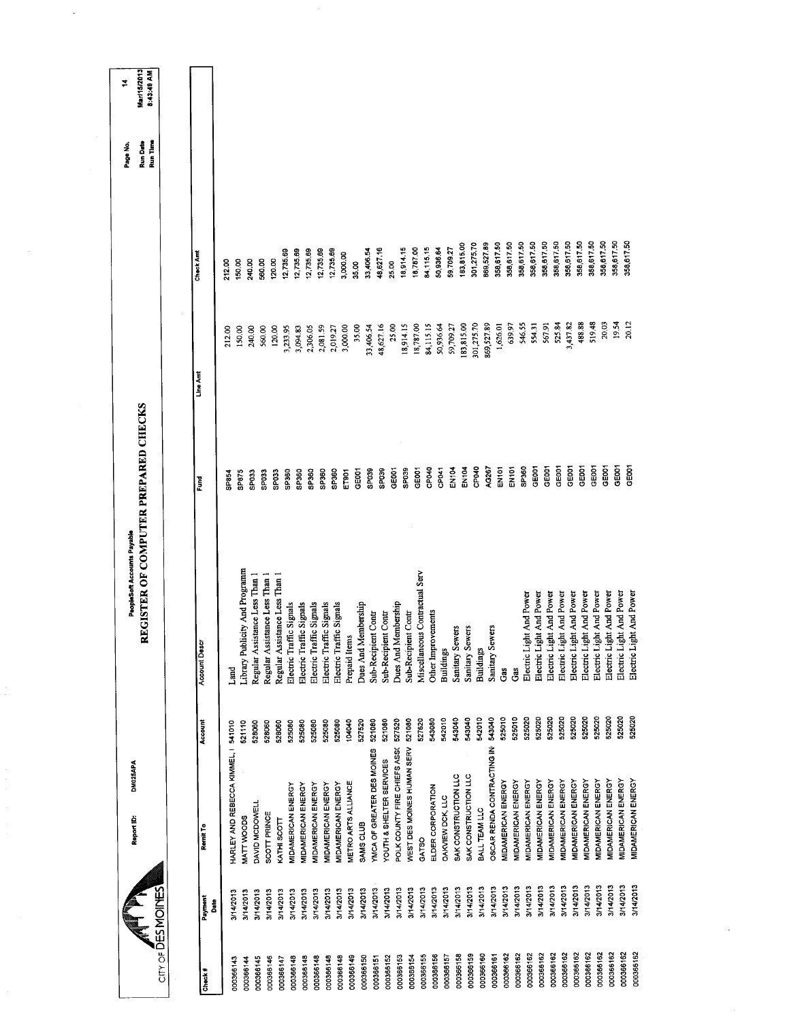| City of DESMOINES      |              | DM025APA<br>Report ID:              |         | REGISTER OF COMPUTER PREPARED CHECKS<br>PeopleSoft Accounts Payable |                   |            |                  | <b>Run Date</b><br>Run Time<br>Page No. | <b>Mar/15/2013</b><br>8:43:49 AM<br>₹ |
|------------------------|--------------|-------------------------------------|---------|---------------------------------------------------------------------|-------------------|------------|------------------|-----------------------------------------|---------------------------------------|
|                        |              |                                     |         |                                                                     |                   |            |                  |                                         |                                       |
| Check#                 | Payment<br>å | Remit To                            | Account | Account Descr                                                       | š                 | Line Amt   | <b>Check Amt</b> |                                         |                                       |
|                        | 3/14/2013    | HARLEY AND REBECCA KIMMEL, 1 541010 |         | Land                                                                | SP854             | 212.00     | 212.00           |                                         |                                       |
| 000366143<br>000366144 | 3/14/2013    | MATT WOODS                          | 521110  | Library Publicity And Programm                                      | SP875             | 150.00     | 150.00           |                                         |                                       |
| 000366145              | 3/14/2013    | DAVID MCDOWELL                      | 528060  | Regular Assistance Less Than 1                                      | SPO33             | 240.00     | 240.00           |                                         |                                       |
| 000366146              | 3/14/2013    | SCOTT PRINCE                        | 528060  | Regular Assistance Less Than 1                                      | SP033             | 560.00     | 560.00           |                                         |                                       |
| 000366147              | 3/14/2013    | KATHI SCOTT                         | 528060  | Regular Assistance Less Than 1                                      | <b>SP033</b>      | 120.00     | 120.00           |                                         |                                       |
| 000366148              | 3/14/2013    | MIDAMERICAN ENERGY                  | 525080  | Electric Traffic Signals                                            | SP360             | 3,233.95   | 12,735.69        |                                         |                                       |
| 000366148              | 3/14/2013    | <b>VIDAMERICAN ENERGY</b>           | 525080  | Electric Traffic Signals                                            | SP360             | 3,094.83   | 12,735.69        |                                         |                                       |
| 000366148              | 3/14/2013    | <b>MIDAMERICAN ENERGY</b>           | 525080  | Electric Traffic Signals                                            | SP360             | 2,306.05   | 12,735.69        |                                         |                                       |
| 000366148              | 3/14/2013    | <b>MIDAMERICAN ENERGY</b>           | 525080  | Electric Traffic Signals                                            | SP360             | 2,081.59   | 12,735.69        |                                         |                                       |
| 000366148              | 3/14/2013    | MIDAMERICAN ENERGY                  | 525080  | Electric Traffic Signals                                            | SP360             | 2,019.27   | 12735.69         |                                         |                                       |
| 000366149              | 3/14/2013    | <b>METRO ARTS ALLIANCE</b>          | 104040  | Prepaid Items                                                       | ET901             | 3,000.00   | 3,000.00         |                                         |                                       |
| 000366150              | 3/14/2013    | SAMS CLUB                           | 527520  | Dues And Membership                                                 | GEOOT             | 35.00      | 35.00            |                                         |                                       |
| 000366151              | 3/14/2013    | YMCA OF GREATER DES MOINES          | 521080  | Sub-Recipient Contr                                                 | SP <sub>039</sub> | 33,406.54  | 33,406.54        |                                         |                                       |
| 000366152              | 3/14/2013    | YOUTH & SHELTER SERVICES            | 521080  | Sub-Recipient Contr                                                 | SP039             | 48,627.16  | 48,627.16        |                                         |                                       |
| 000366153              | 3/14/2013    | POLK COUNTY FIRE CHIEFS ASSO        | 527520  | Dues And Membership                                                 | GEOOT             | 25.00      | 25.00            |                                         |                                       |
| 000366154              | 3/14/2013    | WEST DES MOINES HUMAN SERV          | 521080  | Sub-Recipient Contr                                                 | SP039             | 18,914.15  | 18,914.15        |                                         |                                       |
| 000366155              | 3/14/2013    | GATSO                               | 527620  | Miscellaneous Contractual Serv                                      | GE001             | 18,787.00  | 18,787.00        |                                         |                                       |
| 000366156              | 3/14/2013    | ELDER CORPORATION                   | 543080  | Other Improvements                                                  | CP040             | 84,115.15  | 84,115.15        |                                         |                                       |
| 000366157              | 3/14/2013    | DAKVIEW DCK, LLC                    | 542010  | <b>Buildings</b>                                                    | CP041             | 50,936.64  | 50,936.64        |                                         |                                       |
| 000366158              | 3/14/2013    | SAK CONSTRUCTION LLC                | 543040  | Sanitary Sewers                                                     | <b>EN104</b>      | 59,709.27  | 59,709.27        |                                         |                                       |
| 000366159              | 3/14/2013    | SAK CONSTRUCTION LLC                | 543040  | Sanitary Sewers                                                     | EN104             | 183,815.00 | 183,815.00       |                                         |                                       |
| 000366160              | 3/14/2013    | BALL TEAM LLC                       | 542010  | <b>Buildings</b>                                                    | CPO40             | 301,275.70 | 301,275.70       |                                         |                                       |
| 000366161              | 3/14/2013    | OSCAR RENDA CONTRACTING IN          | 543040  | Sanitary Sewers                                                     | AG267             | 869,527.89 | 869,527.89       |                                         |                                       |
| 000366162              | 3/14/2013    | MIDAMERICAN ENERGY                  | 525010  | ទឹ                                                                  | EN101             | 1,626.01   | 358,617.50       |                                         |                                       |
| 000366162              | 3/14/2013    | MIDAMERICAN ENERGY                  | 525010  | Gas                                                                 | EN <sub>101</sub> | 639.97     | 358,617.50       |                                         |                                       |
| 000366162              | 3/14/2013    | MIDAMERICAN ENERGY                  | 525020  | Electric Light And Power                                            | SP <sub>360</sub> | 546.55     | 358,617.50       |                                         |                                       |
| 00366162               | 3/14/2013    | MIDAMERICAN ENERGY                  | 525020  | Electric Light And Power                                            | GE001             | 554.31     | 358,617.50       |                                         |                                       |
| 000366162              | 3/14/2013    | MIDAMERICAN ENERGY                  | 525020  | Electric Light And Power                                            | GE001             | 567.91     | 358,617.50       |                                         |                                       |
| 000366162              | 3/14/2013    | MIDAMERICAN ENERGY                  | 525020  | Electric Light And Power                                            | GE001             | 525.84     | 358,617,50       |                                         |                                       |
| 000366162              | 3/14/2013    | MIDAMERICAN ENERGY                  | 525020  | Electric Light And Power                                            | GEOOT             | 3,437.82   | 358,617.50       |                                         |                                       |
| 000366162              | 3/14/2013    | MIDAMERICAN ENERGY                  | 525020  | Electric Light And Power                                            | GE001             | 488.88     | 358,617.50       |                                         |                                       |
| 000366162              | 3/14/2013    | MIDAMERICAN ENERGY                  | 525020  | Electric Light And Power                                            | GE001             | 519.48     | 358,617.50       |                                         |                                       |
| 000366162              | 3/14/2013    | MIDAMERICAN ENERGY                  | 525020  | Electric Light And Power                                            | GE <sub>001</sub> | 20.03      | 358,617.50       |                                         |                                       |
| 000366162              | 3/14/2013    | MIDAMERICAN ENERGY                  | 525020  | Electric Light And Power                                            | GE001             | 19.54      | 358,617.50       |                                         |                                       |
|                        | 3/14/2013    | MIDAMERICAN ENERGY                  | 525020  | Electric Light And Power                                            | GE001             | 20.12      | 358,617.50       |                                         |                                       |
| 000366162              |              |                                     |         |                                                                     |                   |            |                  |                                         |                                       |